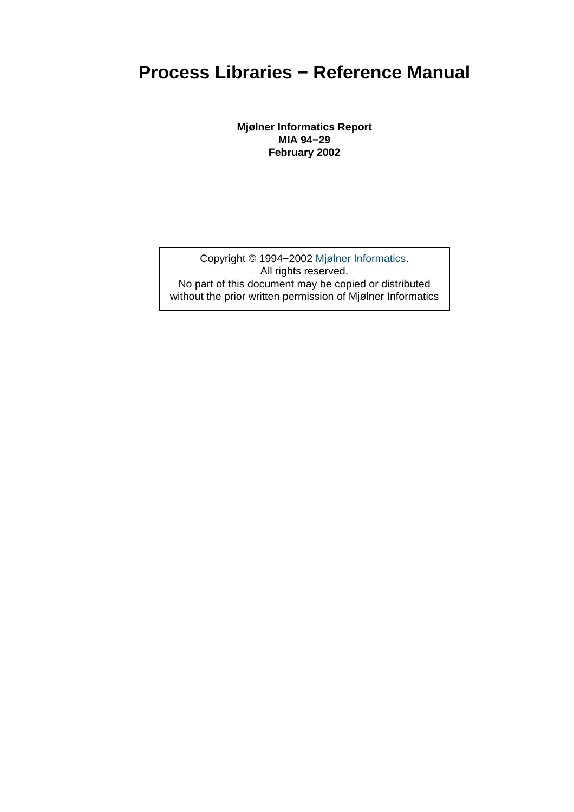### **Process Libraries − Reference Manual**

**Mjølner Informatics Report MIA 94−29 February 2002**

Copyright © 1994−2002 Mjølner Informatics. All rights reserved. No part of this document may be copied or distributed without the prior written permis[sion of Mjølner Infor](http://www.mjolner.com)matics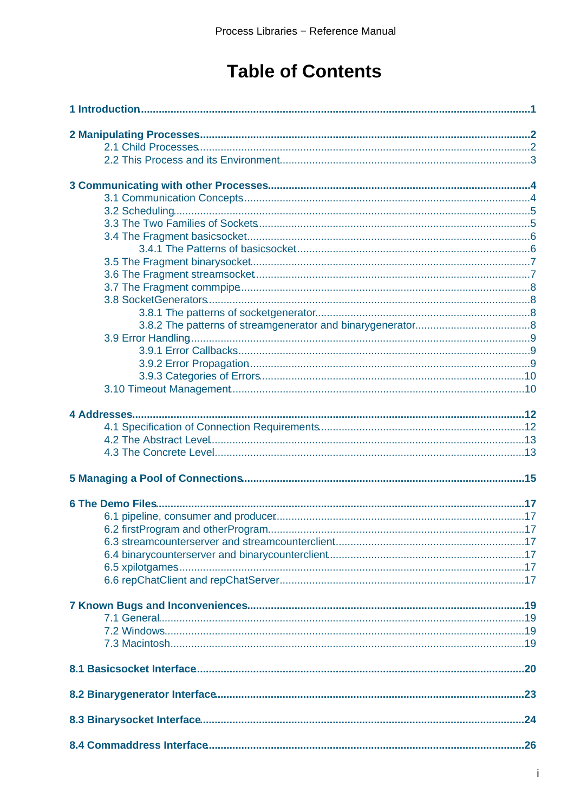## **Table of Contents**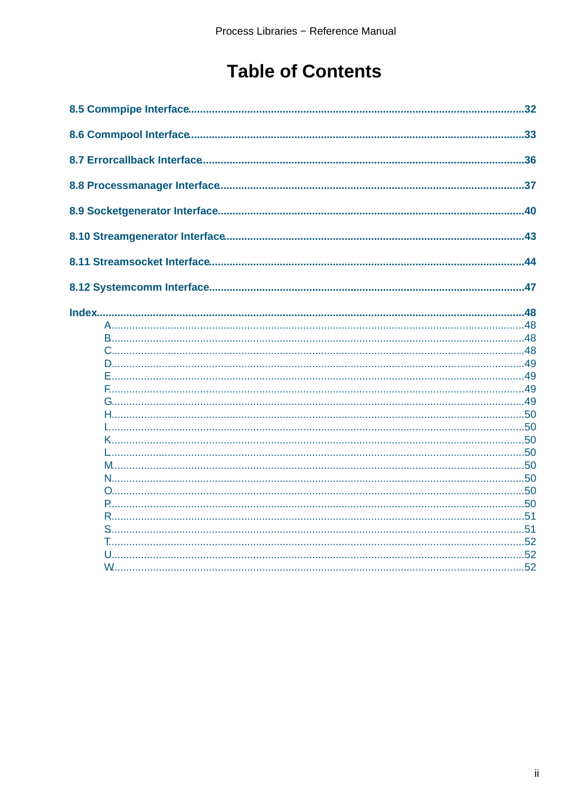## **Table of Contents**

| .32 |
|-----|
|     |
|     |
|     |
|     |
|     |
|     |
|     |
|     |
|     |
|     |
|     |
|     |
|     |
|     |
|     |
|     |
|     |
|     |
|     |
|     |
|     |
|     |
|     |
| .51 |
| .51 |
|     |
|     |
|     |
|     |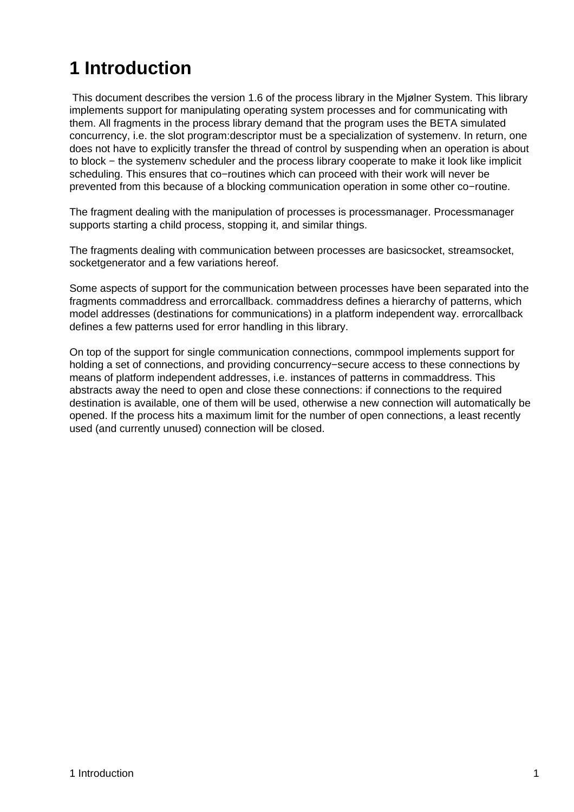# <span id="page-3-0"></span>**1 Introduction**

 This document describes the version 1.6 of the process library in the Mjølner System. This library implements support for manipulating operating system processes and for communicating with them. All fragments in the process library demand that the program uses the BETA simulated concurrency, i.e. the slot program:descriptor must be a specialization of systemenv. In return, one does not have to explicitly transfer the thread of control by suspending when an operation is about to block − the systemenv scheduler and the process library cooperate to make it look like implicit scheduling. This ensures that co−routines which can proceed with their work will never be prevented from this because of a blocking communication operation in some other co−routine.

The fragment dealing with the manipulation of processes is processmanager. Processmanager supports starting a child process, stopping it, and similar things.

The fragments dealing with communication between processes are basicsocket, streamsocket, socketgenerator and a few variations hereof.

Some aspects of support for the communication between processes have been separated into the fragments commaddress and errorcallback. commaddress defines a hierarchy of patterns, which model addresses (destinations for communications) in a platform independent way. errorcallback defines a few patterns used for error handling in this library.

On top of the support for single communication connections, commpool implements support for holding a set of connections, and providing concurrency−secure access to these connections by means of platform independent addresses, i.e. instances of patterns in commaddress. This abstracts away the need to open and close these connections: if connections to the required destination is available, one of them will be used, otherwise a new connection will automatically be opened. If the process hits a maximum limit for the number of open connections, a least recently used (and currently unused) connection will be closed.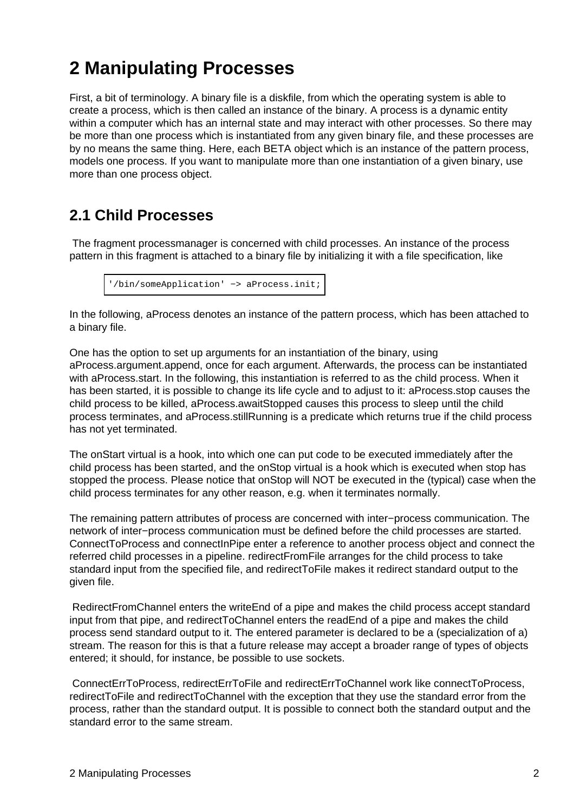# <span id="page-4-0"></span>**2 Manipulating Processes**

First, a bit of terminology. A binary file is a diskfile, from which the operating system is able to create a process, which is then called an instance of the binary. A process is a dynamic entity within a computer which has an internal state and may interact with other processes. So there may be more than one process which is instantiated from any given binary file, and these processes are by no means the same thing. Here, each BETA object which is an instance of the pattern process, models one process. If you want to manipulate more than one instantiation of a given binary, use more than one process object.

### **2.1 Child Processes**

 The fragment processmanager is concerned with child processes. An instance of the process pattern in this fragment is attached to a binary file by initializing it with a file specification, like

```
'/bin/someApplication' −> aProcess.init;
```
In the following, aProcess denotes an instance of the pattern process, which has been attached to a binary file.

One has the option to set up arguments for an instantiation of the binary, using aProcess.argument.append, once for each argument. Afterwards, the process can be instantiated with aProcess.start. In the following, this instantiation is referred to as the child process. When it has been started, it is possible to change its life cycle and to adjust to it: aProcess.stop causes the child process to be killed, aProcess.awaitStopped causes this process to sleep until the child process terminates, and aProcess.stillRunning is a predicate which returns true if the child process has not yet terminated.

The onStart virtual is a hook, into which one can put code to be executed immediately after the child process has been started, and the onStop virtual is a hook which is executed when stop has stopped the process. Please notice that onStop will NOT be executed in the (typical) case when the child process terminates for any other reason, e.g. when it terminates normally.

The remaining pattern attributes of process are concerned with inter−process communication. The network of inter−process communication must be defined before the child processes are started. ConnectToProcess and connectInPipe enter a reference to another process object and connect the referred child processes in a pipeline. redirectFromFile arranges for the child process to take standard input from the specified file, and redirectToFile makes it redirect standard output to the given file.

 RedirectFromChannel enters the writeEnd of a pipe and makes the child process accept standard input from that pipe, and redirectToChannel enters the readEnd of a pipe and makes the child process send standard output to it. The entered parameter is declared to be a (specialization of a) stream. The reason for this is that a future release may accept a broader range of types of objects entered; it should, for instance, be possible to use sockets.

 ConnectErrToProcess, redirectErrToFile and redirectErrToChannel work like connectToProcess, redirectToFile and redirectToChannel with the exception that they use the standard error from the process, rather than the standard output. It is possible to connect both the standard output and the standard error to the same stream.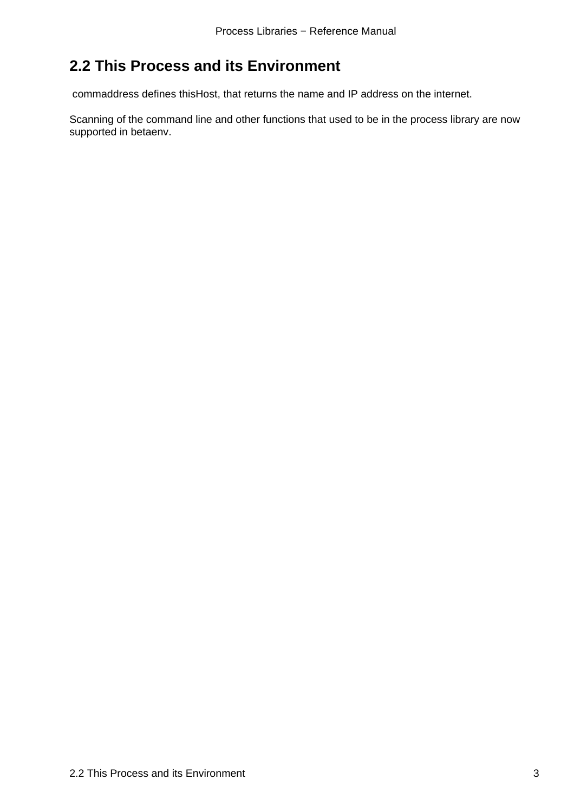### <span id="page-5-0"></span>**2.2 This Process and its Environment**

commaddress defines thisHost, that returns the name and IP address on the internet.

Scanning of the command line and other functions that used to be in the process library are now supported in betaenv.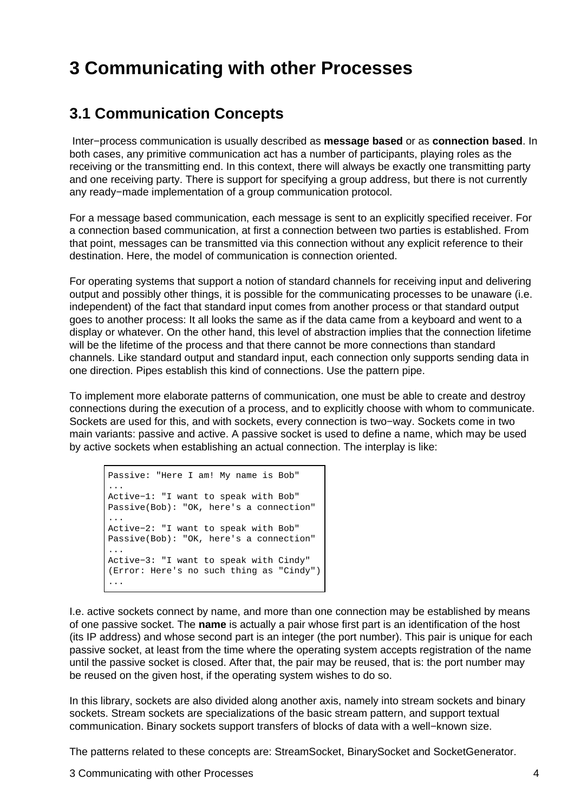## <span id="page-6-0"></span>**3 Communicating with other Processes**

#### **3.1 Communication Concepts**

 Inter−process communication is usually described as **message based** or as **connection based**. In both cases, any primitive communication act has a number of participants, playing roles as the receiving or the transmitting end. In this context, there will always be exactly one transmitting party and one receiving party. There is support for specifying a group address, but there is not currently any ready−made implementation of a group communication protocol.

For a message based communication, each message is sent to an explicitly specified receiver. For a connection based communication, at first a connection between two parties is established. From that point, messages can be transmitted via this connection without any explicit reference to their destination. Here, the model of communication is connection oriented.

For operating systems that support a notion of standard channels for receiving input and delivering output and possibly other things, it is possible for the communicating processes to be unaware (i.e. independent) of the fact that standard input comes from another process or that standard output goes to another process: It all looks the same as if the data came from a keyboard and went to a display or whatever. On the other hand, this level of abstraction implies that the connection lifetime will be the lifetime of the process and that there cannot be more connections than standard channels. Like standard output and standard input, each connection only supports sending data in one direction. Pipes establish this kind of connections. Use the pattern pipe.

To implement more elaborate patterns of communication, one must be able to create and destroy connections during the execution of a process, and to explicitly choose with whom to communicate. Sockets are used for this, and with sockets, every connection is two−way. Sockets come in two main variants: passive and active. A passive socket is used to define a name, which may be used by active sockets when establishing an actual connection. The interplay is like:

```
Passive: "Here I am! My name is Bob"
...
Active−1: "I want to speak with Bob"
Passive(Bob): "OK, here's a connection"
...
Active−2: "I want to speak with Bob"
Passive(Bob): "OK, here's a connection"
...
Active−3: "I want to speak with Cindy"
(Error: Here's no such thing as "Cindy")
...
```
I.e. active sockets connect by name, and more than one connection may be established by means of one passive socket. The **name** is actually a pair whose first part is an identification of the host (its IP address) and whose second part is an integer (the port number). This pair is unique for each passive socket, at least from the time where the operating system accepts registration of the name until the passive socket is closed. After that, the pair may be reused, that is: the port number may be reused on the given host, if the operating system wishes to do so.

In this library, sockets are also divided along another axis, namely into stream sockets and binary sockets. Stream sockets are specializations of the basic stream pattern, and support textual communication. Binary sockets support transfers of blocks of data with a well−known size.

The patterns related to these concepts are: StreamSocket, BinarySocket and SocketGenerator.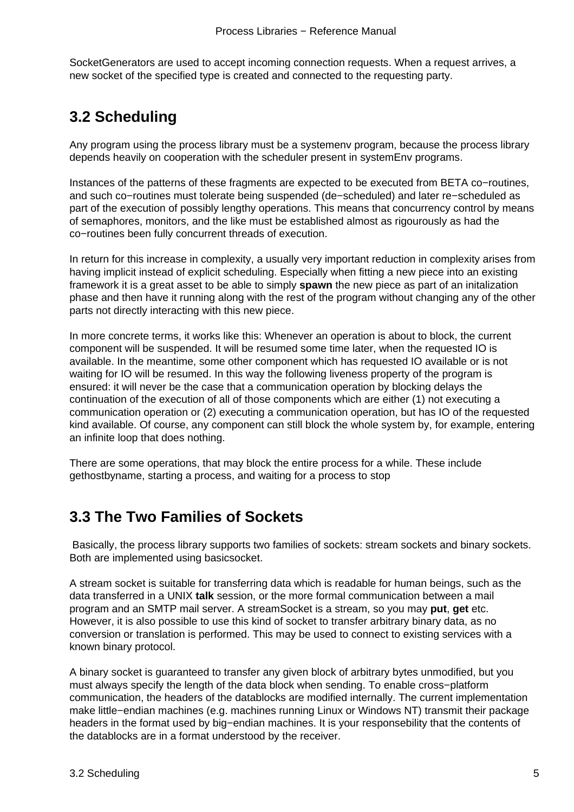<span id="page-7-0"></span>SocketGenerators are used to accept incoming connection requests. When a request arrives, a new socket of the specified type is created and connected to the requesting party.

### **3.2 Scheduling**

Any program using the process library must be a systemenv program, because the process library depends heavily on cooperation with the scheduler present in systemEnv programs.

Instances of the patterns of these fragments are expected to be executed from BETA co−routines, and such co−routines must tolerate being suspended (de−scheduled) and later re−scheduled as part of the execution of possibly lengthy operations. This means that concurrency control by means of semaphores, monitors, and the like must be established almost as rigourously as had the co−routines been fully concurrent threads of execution.

In return for this increase in complexity, a usually very important reduction in complexity arises from having implicit instead of explicit scheduling. Especially when fitting a new piece into an existing framework it is a great asset to be able to simply **spawn** the new piece as part of an initalization phase and then have it running along with the rest of the program without changing any of the other parts not directly interacting with this new piece.

In more concrete terms, it works like this: Whenever an operation is about to block, the current component will be suspended. It will be resumed some time later, when the requested IO is available. In the meantime, some other component which has requested IO available or is not waiting for IO will be resumed. In this way the following liveness property of the program is ensured: it will never be the case that a communication operation by blocking delays the continuation of the execution of all of those components which are either (1) not executing a communication operation or (2) executing a communication operation, but has IO of the requested kind available. Of course, any component can still block the whole system by, for example, entering an infinite loop that does nothing.

There are some operations, that may block the entire process for a while. These include gethostbyname, starting a process, and waiting for a process to stop

### **3.3 The Two Families of Sockets**

 Basically, the process library supports two families of sockets: stream sockets and binary sockets. Both are implemented using basicsocket.

A stream socket is suitable for transferring data which is readable for human beings, such as the data transferred in a UNIX **talk** session, or the more formal communication between a mail program and an SMTP mail server. A streamSocket is a stream, so you may **put**, **get** etc. However, it is also possible to use this kind of socket to transfer arbitrary binary data, as no conversion or translation is performed. This may be used to connect to existing services with a known binary protocol.

A binary socket is guaranteed to transfer any given block of arbitrary bytes unmodified, but you must always specify the length of the data block when sending. To enable cross−platform communication, the headers of the datablocks are modified internally. The current implementation make little−endian machines (e.g. machines running Linux or Windows NT) transmit their package headers in the format used by big−endian machines. It is your responsebility that the contents of the datablocks are in a format understood by the receiver.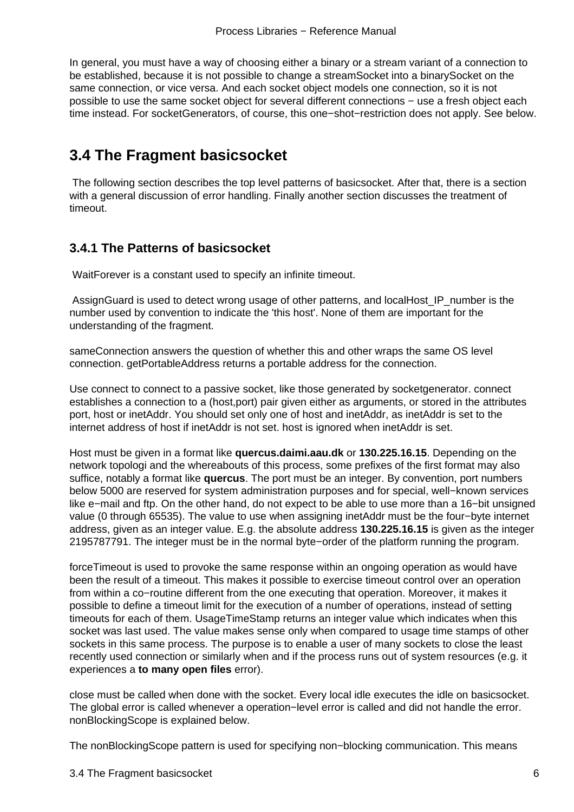<span id="page-8-0"></span>In general, you must have a way of choosing either a binary or a stream variant of a connection to be established, because it is not possible to change a streamSocket into a binarySocket on the same connection, or vice versa. And each socket object models one connection, so it is not possible to use the same socket object for several different connections – use a fresh object each time instead. For socketGenerators, of course, this one−shot−restriction does not apply. See below.

### **3.4 The Fragment basicsocket**

 The following section describes the top level patterns of basicsocket. After that, there is a section with a general discussion of error handling. Finally another section discusses the treatment of timeout.

#### **3.4.1 The Patterns of basicsocket**

WaitForever is a constant used to specify an infinite timeout.

 AssignGuard is used to detect wrong usage of other patterns, and localHost\_IP\_number is the number used by convention to indicate the 'this host'. None of them are important for the understanding of the fragment.

sameConnection answers the question of whether this and other wraps the same OS level connection. getPortableAddress returns a portable address for the connection.

Use connect to connect to a passive socket, like those generated by socketgenerator. connect establishes a connection to a (host,port) pair given either as arguments, or stored in the attributes port, host or inetAddr. You should set only one of host and inetAddr, as inetAddr is set to the internet address of host if inetAddr is not set. host is ignored when inetAddr is set.

Host must be given in a format like **quercus.daimi.aau.dk** or **130.225.16.15**. Depending on the network topologi and the whereabouts of this process, some prefixes of the first format may also suffice, notably a format like **quercus**. The port must be an integer. By convention, port numbers below 5000 are reserved for system administration purposes and for special, well−known services like e−mail and ftp. On the other hand, do not expect to be able to use more than a 16−bit unsigned value (0 through 65535). The value to use when assigning inetAddr must be the four−byte internet address, given as an integer value. E.g. the absolute address **130.225.16.15** is given as the integer 2195787791. The integer must be in the normal byte−order of the platform running the program.

forceTimeout is used to provoke the same response within an ongoing operation as would have been the result of a timeout. This makes it possible to exercise timeout control over an operation from within a co−routine different from the one executing that operation. Moreover, it makes it possible to define a timeout limit for the execution of a number of operations, instead of setting timeouts for each of them. UsageTimeStamp returns an integer value which indicates when this socket was last used. The value makes sense only when compared to usage time stamps of other sockets in this same process. The purpose is to enable a user of many sockets to close the least recently used connection or similarly when and if the process runs out of system resources (e.g. it experiences a **to many open files** error).

close must be called when done with the socket. Every local idle executes the idle on basicsocket. The global error is called whenever a operation−level error is called and did not handle the error. nonBlockingScope is explained below.

The nonBlockingScope pattern is used for specifying non−blocking communication. This means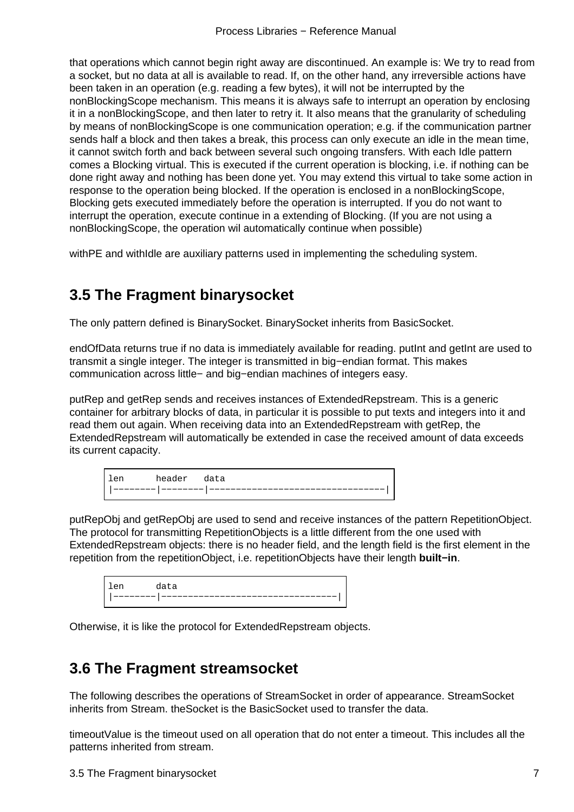<span id="page-9-0"></span>that operations which cannot begin right away are discontinued. An example is: We try to read from a socket, but no data at all is available to read. If, on the other hand, any irreversible actions have been taken in an operation (e.g. reading a few bytes), it will not be interrupted by the nonBlockingScope mechanism. This means it is always safe to interrupt an operation by enclosing it in a nonBlockingScope, and then later to retry it. It also means that the granularity of scheduling by means of nonBlockingScope is one communication operation; e.g. if the communication partner sends half a block and then takes a break, this process can only execute an idle in the mean time, it cannot switch forth and back between several such ongoing transfers. With each Idle pattern comes a Blocking virtual. This is executed if the current operation is blocking, i.e. if nothing can be done right away and nothing has been done yet. You may extend this virtual to take some action in response to the operation being blocked. If the operation is enclosed in a nonBlockingScope, Blocking gets executed immediately before the operation is interrupted. If you do not want to interrupt the operation, execute continue in a extending of Blocking. (If you are not using a nonBlockingScope, the operation wil automatically continue when possible)

withPE and withIdle are auxiliary patterns used in implementing the scheduling system.

### **3.5 The Fragment binarysocket**

The only pattern defined is BinarySocket. BinarySocket inherits from BasicSocket.

endOfData returns true if no data is immediately available for reading. putInt and getInt are used to transmit a single integer. The integer is transmitted in big−endian format. This makes communication across little− and big−endian machines of integers easy.

putRep and getRep sends and receives instances of ExtendedRepstream. This is a generic container for arbitrary blocks of data, in particular it is possible to put texts and integers into it and read them out again. When receiving data into an ExtendedRepstream with getRep, the ExtendedRepstream will automatically be extended in case the received amount of data exceeds its current capacity.

| len | header data |  |
|-----|-------------|--|
|     |             |  |

putRepObj and getRepObj are used to send and receive instances of the pattern RepetitionObject. The protocol for transmitting RepetitionObjects is a little different from the one used with ExtendedRepstream objects: there is no header field, and the length field is the first element in the repetition from the repetitionObject, i.e. repetitionObjects have their length **built−in**.

| $\alpha$ m | data |
|------------|------|
|            |      |

Otherwise, it is like the protocol for ExtendedRepstream objects.

### **3.6 The Fragment streamsocket**

The following describes the operations of StreamSocket in order of appearance. StreamSocket inherits from Stream. theSocket is the BasicSocket used to transfer the data.

timeoutValue is the timeout used on all operation that do not enter a timeout. This includes all the patterns inherited from stream.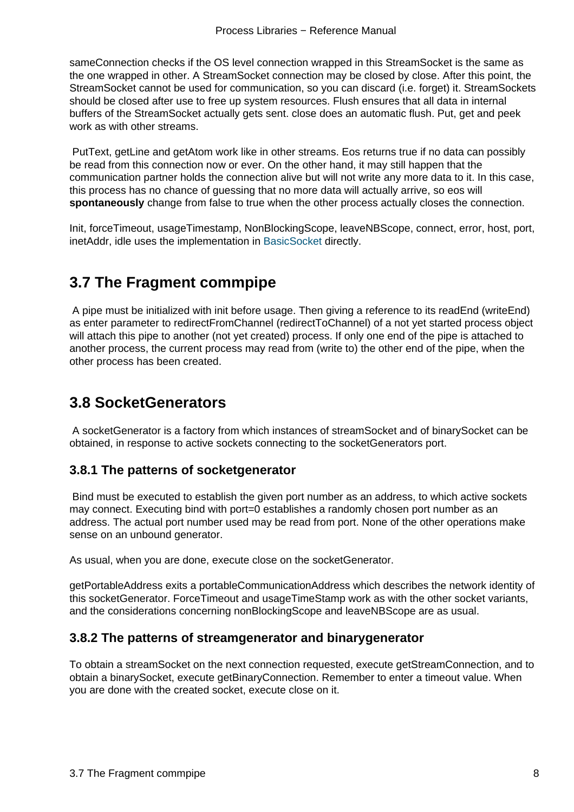<span id="page-10-0"></span>sameConnection checks if the OS level connection wrapped in this StreamSocket is the same as the one wrapped in other. A StreamSocket connection may be closed by close. After this point, the StreamSocket cannot be used for communication, so you can discard (i.e. forget) it. StreamSockets should be closed after use to free up system resources. Flush ensures that all data in internal buffers of the StreamSocket actually gets sent. close does an automatic flush. Put, get and peek work as with other streams.

 PutText, getLine and getAtom work like in other streams. Eos returns true if no data can possibly be read from this connection now or ever. On the other hand, it may still happen that the communication partner holds the connection alive but will not write any more data to it. In this case, this process has no chance of guessing that no more data will actually arrive, so eos will **spontaneously** change from false to true when the other process actually closes the connection.

Init, forceTimeout, usageTimestamp, NonBlockingScope, leaveNBScope, connect, error, host, port, inetAddr, idle uses the implementation in BasicSocket directly.

### **3.7 The Fragment commpi[pe](#page-9-0)**

 A pipe must be initialized with init before usage. Then giving a reference to its readEnd (writeEnd) as enter parameter to redirectFromChannel (redirectToChannel) of a not yet started process object will attach this pipe to another (not yet created) process. If only one end of the pipe is attached to another process, the current process may read from (write to) the other end of the pipe, when the other process has been created.

### **3.8 SocketGenerators**

 A socketGenerator is a factory from which instances of streamSocket and of binarySocket can be obtained, in response to active sockets connecting to the socketGenerators port.

#### **3.8.1 The patterns of socketgenerator**

 Bind must be executed to establish the given port number as an address, to which active sockets may connect. Executing bind with port=0 establishes a randomly chosen port number as an address. The actual port number used may be read from port. None of the other operations make sense on an unbound generator.

As usual, when you are done, execute close on the socketGenerator.

getPortableAddress exits a portableCommunicationAddress which describes the network identity of this socketGenerator. ForceTimeout and usageTimeStamp work as with the other socket variants, and the considerations concerning nonBlockingScope and leaveNBScope are as usual.

#### **3.8.2 The patterns of streamgenerator and binarygenerator**

To obtain a streamSocket on the next connection requested, execute getStreamConnection, and to obtain a binarySocket, execute getBinaryConnection. Remember to enter a timeout value. When you are done with the created socket, execute close on it.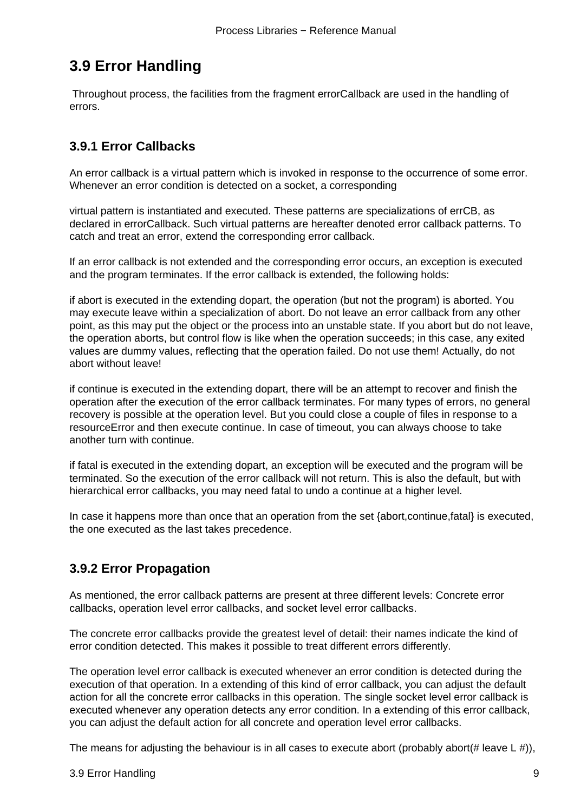### <span id="page-11-0"></span>**3.9 Error Handling**

 Throughout process, the facilities from the fragment errorCallback are used in the handling of errors.

#### **3.9.1 Error Callbacks**

An error callback is a virtual pattern which is invoked in response to the occurrence of some error. Whenever an error condition is detected on a socket, a corresponding

virtual pattern is instantiated and executed. These patterns are specializations of errCB, as declared in errorCallback. Such virtual patterns are hereafter denoted error callback patterns. To catch and treat an error, extend the corresponding error callback.

If an error callback is not extended and the corresponding error occurs, an exception is executed and the program terminates. If the error callback is extended, the following holds:

if abort is executed in the extending dopart, the operation (but not the program) is aborted. You may execute leave within a specialization of abort. Do not leave an error callback from any other point, as this may put the object or the process into an unstable state. If you abort but do not leave, the operation aborts, but control flow is like when the operation succeeds; in this case, any exited values are dummy values, reflecting that the operation failed. Do not use them! Actually, do not abort without leave!

if continue is executed in the extending dopart, there will be an attempt to recover and finish the operation after the execution of the error callback terminates. For many types of errors, no general recovery is possible at the operation level. But you could close a couple of files in response to a resourceError and then execute continue. In case of timeout, you can always choose to take another turn with continue.

if fatal is executed in the extending dopart, an exception will be executed and the program will be terminated. So the execution of the error callback will not return. This is also the default, but with hierarchical error callbacks, you may need fatal to undo a continue at a higher level.

In case it happens more than once that an operation from the set {abort,continue,fatal} is executed, the one executed as the last takes precedence.

#### **3.9.2 Error Propagation**

As mentioned, the error callback patterns are present at three different levels: Concrete error callbacks, operation level error callbacks, and socket level error callbacks.

The concrete error callbacks provide the greatest level of detail: their names indicate the kind of error condition detected. This makes it possible to treat different errors differently.

The operation level error callback is executed whenever an error condition is detected during the execution of that operation. In a extending of this kind of error callback, you can adjust the default action for all the concrete error callbacks in this operation. The single socket level error callback is executed whenever any operation detects any error condition. In a extending of this error callback, you can adjust the default action for all concrete and operation level error callbacks.

The means for adjusting the behaviour is in all cases to execute abort (probably abort  $(\# \text{ leave } L \#))$ ,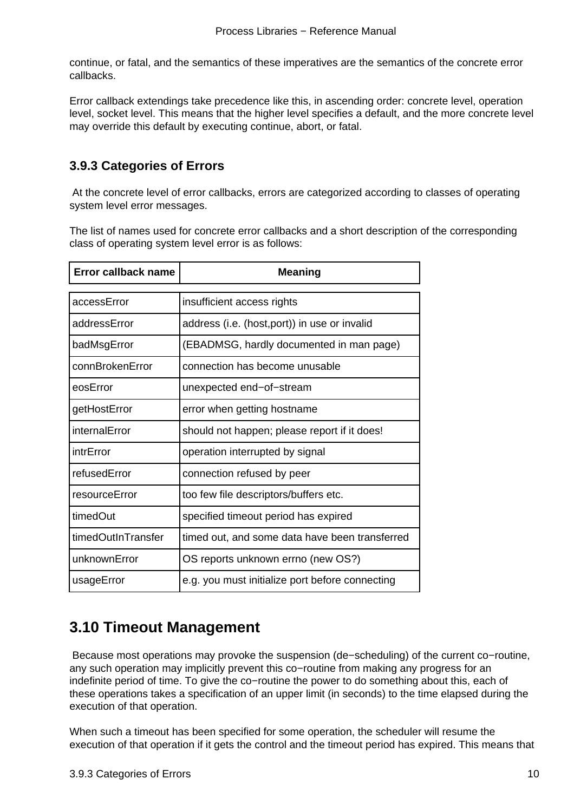<span id="page-12-0"></span>continue, or fatal, and the semantics of these imperatives are the semantics of the concrete error callbacks.

Error callback extendings take precedence like this, in ascending order: concrete level, operation level, socket level. This means that the higher level specifies a default, and the more concrete level may override this default by executing continue, abort, or fatal.

#### **3.9.3 Categories of Errors**

 At the concrete level of error callbacks, errors are categorized according to classes of operating system level error messages.

The list of names used for concrete error callbacks and a short description of the corresponding class of operating system level error is as follows:

| Error callback name | <b>Meaning</b>                                  |
|---------------------|-------------------------------------------------|
| accessError         | insufficient access rights                      |
| addressError        | address (i.e. (host, port)) in use or invalid   |
| badMsgError         | (EBADMSG, hardly documented in man page)        |
| connBrokenError     | connection has become unusable                  |
| eosError            | unexpected end-of-stream                        |
| getHostError        | error when getting hostname                     |
| internalError       | should not happen; please report if it does!    |
| intrError           | operation interrupted by signal                 |
| refusedError        | connection refused by peer                      |
| resourceError       | too few file descriptors/buffers etc.           |
| timedOut            | specified timeout period has expired            |
| timedOutInTransfer  | timed out, and some data have been transferred  |
| unknownError        | OS reports unknown errno (new OS?)              |
| usageError          | e.g. you must initialize port before connecting |

#### **3.10 Timeout Management**

 Because most operations may provoke the suspension (de−scheduling) of the current co−routine, any such operation may implicitly prevent this co−routine from making any progress for an indefinite period of time. To give the co−routine the power to do something about this, each of these operations takes a specification of an upper limit (in seconds) to the time elapsed during the execution of that operation.

When such a timeout has been specified for some operation, the scheduler will resume the execution of that operation if it gets the control and the timeout period has expired. This means that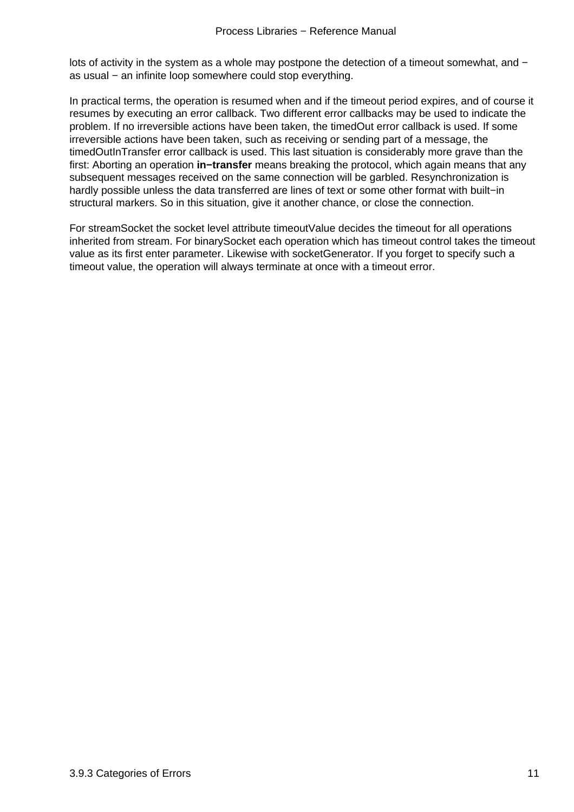lots of activity in the system as a whole may postpone the detection of a timeout somewhat, and − as usual – an infinite loop somewhere could stop everything.

In practical terms, the operation is resumed when and if the timeout period expires, and of course it resumes by executing an error callback. Two different error callbacks may be used to indicate the problem. If no irreversible actions have been taken, the timedOut error callback is used. If some irreversible actions have been taken, such as receiving or sending part of a message, the timedOutInTransfer error callback is used. This last situation is considerably more grave than the first: Aborting an operation **in−transfer** means breaking the protocol, which again means that any subsequent messages received on the same connection will be garbled. Resynchronization is hardly possible unless the data transferred are lines of text or some other format with built−in structural markers. So in this situation, give it another chance, or close the connection.

For streamSocket the socket level attribute timeoutValue decides the timeout for all operations inherited from stream. For binarySocket each operation which has timeout control takes the timeout value as its first enter parameter. Likewise with socketGenerator. If you forget to specify such a timeout value, the operation will always terminate at once with a timeout error.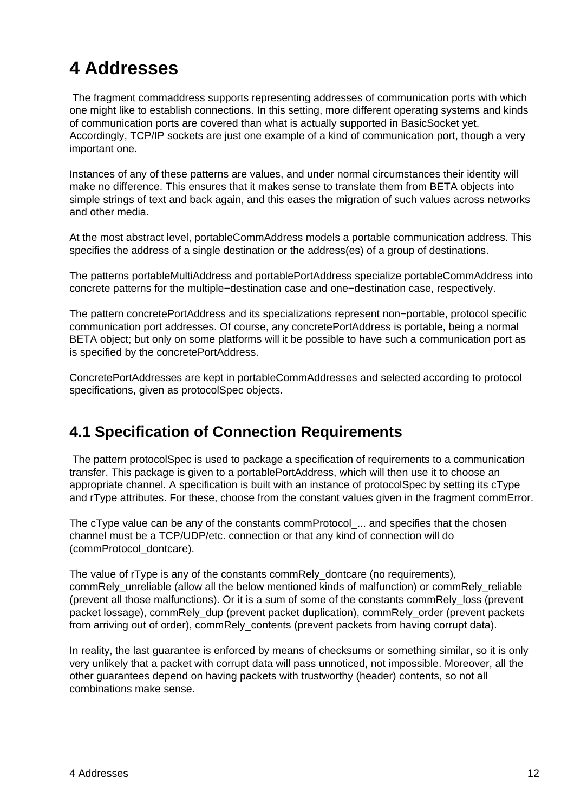# <span id="page-14-0"></span>**4 Addresses**

 The fragment commaddress supports representing addresses of communication ports with which one might like to establish connections. In this setting, more different operating systems and kinds of communication ports are covered than what is actually supported in BasicSocket yet. Accordingly, TCP/IP sockets are just one example of a kind of communication port, though a very important one.

Instances of any of these patterns are values, and under normal circumstances their identity will make no difference. This ensures that it makes sense to translate them from BETA objects into simple strings of text and back again, and this eases the migration of such values across networks and other media.

At the most abstract level, portableCommAddress models a portable communication address. This specifies the address of a single destination or the address(es) of a group of destinations.

The patterns portableMultiAddress and portablePortAddress specialize portableCommAddress into concrete patterns for the multiple−destination case and one−destination case, respectively.

The pattern concretePortAddress and its specializations represent non−portable, protocol specific communication port addresses. Of course, any concretePortAddress is portable, being a normal BETA object; but only on some platforms will it be possible to have such a communication port as is specified by the concretePortAddress.

ConcretePortAddresses are kept in portableCommAddresses and selected according to protocol specifications, given as protocolSpec objects.

#### **4.1 Specification of Connection Requirements**

 The pattern protocolSpec is used to package a specification of requirements to a communication transfer. This package is given to a portablePortAddress, which will then use it to choose an appropriate channel. A specification is built with an instance of protocolSpec by setting its cType and rType attributes. For these, choose from the constant values given in the fragment commError.

The cType value can be any of the constants commProtocol\_... and specifies that the chosen channel must be a TCP/UDP/etc. connection or that any kind of connection will do (commProtocol\_dontcare).

The value of rType is any of the constants commRely\_dontcare (no requirements), commRely\_unreliable (allow all the below mentioned kinds of malfunction) or commRely\_reliable (prevent all those malfunctions). Or it is a sum of some of the constants commRely\_loss (prevent packet lossage), commRely\_dup (prevent packet duplication), commRely\_order (prevent packets from arriving out of order), commRely\_contents (prevent packets from having corrupt data).

In reality, the last guarantee is enforced by means of checksums or something similar, so it is only very unlikely that a packet with corrupt data will pass unnoticed, not impossible. Moreover, all the other guarantees depend on having packets with trustworthy (header) contents, so not all combinations make sense.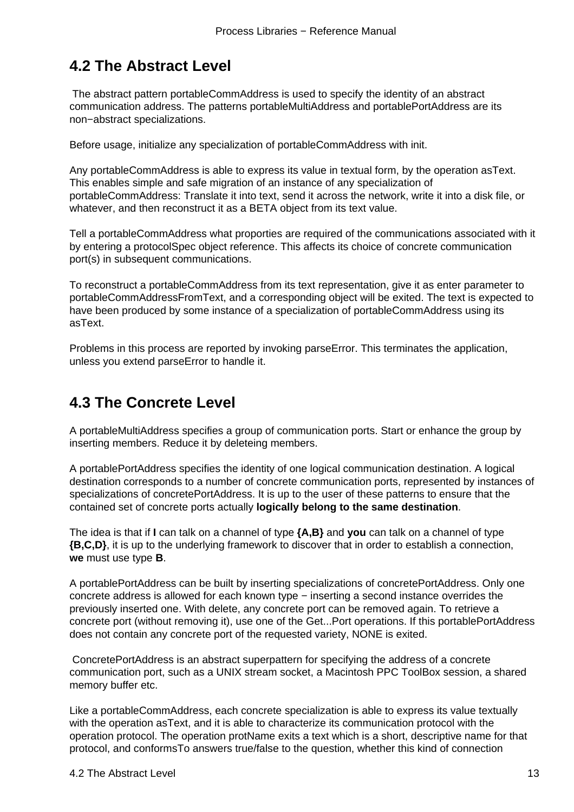### <span id="page-15-0"></span>**4.2 The Abstract Level**

 The abstract pattern portableCommAddress is used to specify the identity of an abstract communication address. The patterns portableMultiAddress and portablePortAddress are its non−abstract specializations.

Before usage, initialize any specialization of portableCommAddress with init.

Any portableCommAddress is able to express its value in textual form, by the operation asText. This enables simple and safe migration of an instance of any specialization of portableCommAddress: Translate it into text, send it across the network, write it into a disk file, or whatever, and then reconstruct it as a BETA object from its text value.

Tell a portableCommAddress what proporties are required of the communications associated with it by entering a protocolSpec object reference. This affects its choice of concrete communication port(s) in subsequent communications.

To reconstruct a portableCommAddress from its text representation, give it as enter parameter to portableCommAddressFromText, and a corresponding object will be exited. The text is expected to have been produced by some instance of a specialization of portableCommAddress using its asText.

Problems in this process are reported by invoking parseError. This terminates the application, unless you extend parseError to handle it.

### **4.3 The Concrete Level**

A portableMultiAddress specifies a group of communication ports. Start or enhance the group by inserting members. Reduce it by deleteing members.

A portablePortAddress specifies the identity of one logical communication destination. A logical destination corresponds to a number of concrete communication ports, represented by instances of specializations of concretePortAddress. It is up to the user of these patterns to ensure that the contained set of concrete ports actually **logically belong to the same destination**.

The idea is that if **I** can talk on a channel of type **{A,B}** and **you** can talk on a channel of type **{B,C,D}**, it is up to the underlying framework to discover that in order to establish a connection, **we** must use type **B**.

A portablePortAddress can be built by inserting specializations of concretePortAddress. Only one concrete address is allowed for each known type − inserting a second instance overrides the previously inserted one. With delete, any concrete port can be removed again. To retrieve a concrete port (without removing it), use one of the Get...Port operations. If this portablePortAddress does not contain any concrete port of the requested variety, NONE is exited.

 ConcretePortAddress is an abstract superpattern for specifying the address of a concrete communication port, such as a UNIX stream socket, a Macintosh PPC ToolBox session, a shared memory buffer etc.

Like a portableCommAddress, each concrete specialization is able to express its value textually with the operation asText, and it is able to characterize its communication protocol with the operation protocol. The operation protName exits a text which is a short, descriptive name for that protocol, and conformsTo answers true/false to the question, whether this kind of connection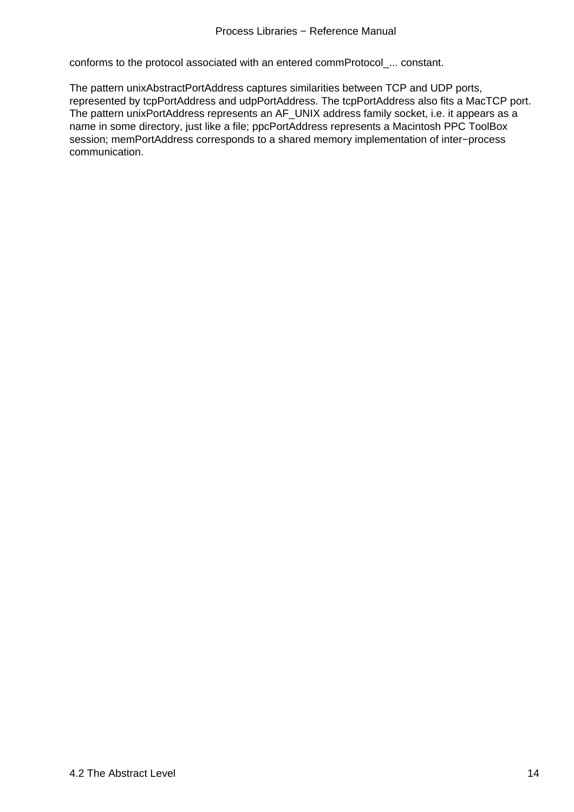<span id="page-16-0"></span>conforms to the protocol associated with an entered commProtocol\_... constant.

The pattern unixAbstractPortAddress captures similarities between TCP and UDP ports, represented by tcpPortAddress and udpPortAddress. The tcpPortAddress also fits a MacTCP port. The pattern unixPortAddress represents an AF\_UNIX address family socket, i.e. it appears as a name in some directory, just like a file; ppcPortAddress represents a Macintosh PPC ToolBox session; memPortAddress corresponds to a shared memory implementation of inter−process communication.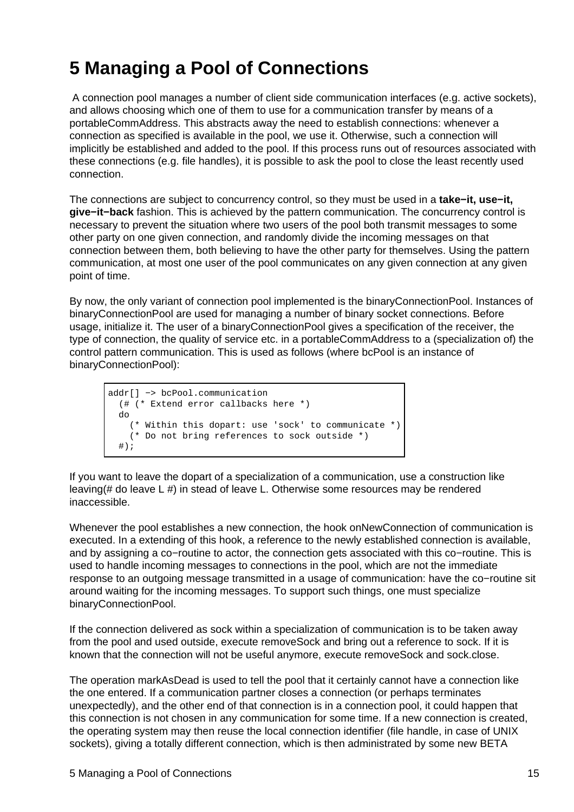# <span id="page-17-0"></span>**5 Managing a Pool of Connections**

 A connection pool manages a number of client side communication interfaces (e.g. active sockets), and allows choosing which one of them to use for a communication transfer by means of a portableCommAddress. This abstracts away the need to establish connections: whenever a connection as specified is available in the pool, we use it. Otherwise, such a connection will implicitly be established and added to the pool. If this process runs out of resources associated with these connections (e.g. file handles), it is possible to ask the pool to close the least recently used connection.

The connections are subject to concurrency control, so they must be used in a **take−it, use−it, give−it−back** fashion. This is achieved by the pattern communication. The concurrency control is necessary to prevent the situation where two users of the pool both transmit messages to some other party on one given connection, and randomly divide the incoming messages on that connection between them, both believing to have the other party for themselves. Using the pattern communication, at most one user of the pool communicates on any given connection at any given point of time.

By now, the only variant of connection pool implemented is the binaryConnectionPool. Instances of binaryConnectionPool are used for managing a number of binary socket connections. Before usage, initialize it. The user of a binaryConnectionPool gives a specification of the receiver, the type of connection, the quality of service etc. in a portableCommAddress to a (specialization of) the control pattern communication. This is used as follows (where bcPool is an instance of binaryConnectionPool):

```
addr[] −> bcPool.communication
   (# (* Extend error callbacks here *)
  do
     (* Within this dopart: use 'sock' to communicate *)
     (* Do not bring references to sock outside *)
  #);
```
If you want to leave the dopart of a specialization of a communication, use a construction like leaving(# do leave L #) in stead of leave L. Otherwise some resources may be rendered inaccessible.

Whenever the pool establishes a new connection, the hook onNewConnection of communication is executed. In a extending of this hook, a reference to the newly established connection is available, and by assigning a co−routine to actor, the connection gets associated with this co−routine. This is used to handle incoming messages to connections in the pool, which are not the immediate response to an outgoing message transmitted in a usage of communication: have the co−routine sit around waiting for the incoming messages. To support such things, one must specialize binaryConnectionPool.

If the connection delivered as sock within a specialization of communication is to be taken away from the pool and used outside, execute removeSock and bring out a reference to sock. If it is known that the connection will not be useful anymore, execute removeSock and sock.close.

The operation markAsDead is used to tell the pool that it certainly cannot have a connection like the one entered. If a communication partner closes a connection (or perhaps terminates unexpectedly), and the other end of that connection is in a connection pool, it could happen that this connection is not chosen in any communication for some time. If a new connection is created, the operating system may then reuse the local connection identifier (file handle, in case of UNIX sockets), giving a totally different connection, which is then administrated by some new BETA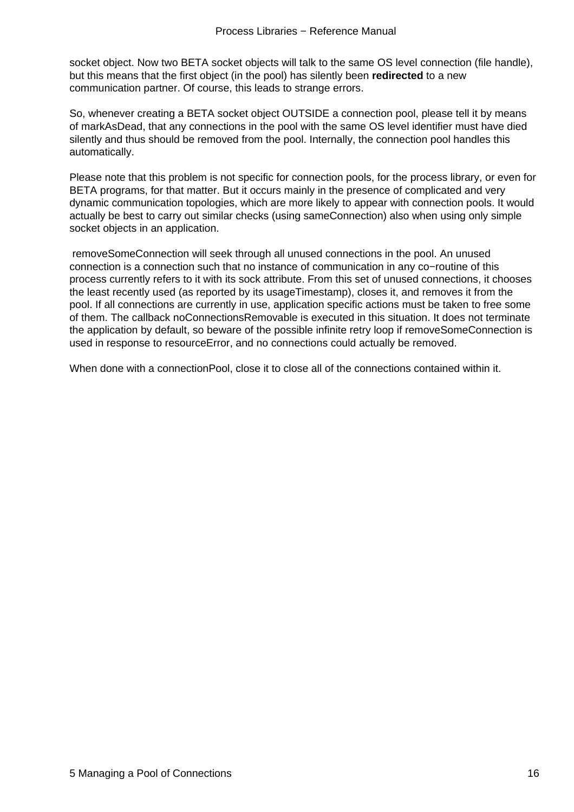socket object. Now two BETA socket objects will talk to the same OS level connection (file handle), but this means that the first object (in the pool) has silently been **redirected** to a new communication partner. Of course, this leads to strange errors.

So, whenever creating a BETA socket object OUTSIDE a connection pool, please tell it by means of markAsDead, that any connections in the pool with the same OS level identifier must have died silently and thus should be removed from the pool. Internally, the connection pool handles this automatically.

Please note that this problem is not specific for connection pools, for the process library, or even for BETA programs, for that matter. But it occurs mainly in the presence of complicated and very dynamic communication topologies, which are more likely to appear with connection pools. It would actually be best to carry out similar checks (using sameConnection) also when using only simple socket objects in an application.

 removeSomeConnection will seek through all unused connections in the pool. An unused connection is a connection such that no instance of communication in any co−routine of this process currently refers to it with its sock attribute. From this set of unused connections, it chooses the least recently used (as reported by its usageTimestamp), closes it, and removes it from the pool. If all connections are currently in use, application specific actions must be taken to free some of them. The callback noConnectionsRemovable is executed in this situation. It does not terminate the application by default, so beware of the possible infinite retry loop if removeSomeConnection is used in response to resourceError, and no connections could actually be removed.

When done with a connectionPool, close it to close all of the connections contained within it.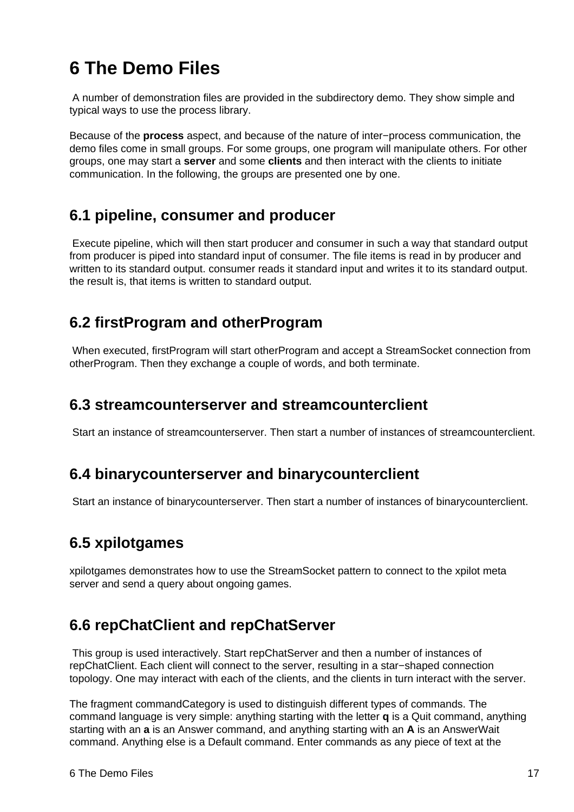# <span id="page-19-0"></span>**6 The Demo Files**

 A number of demonstration files are provided in the subdirectory demo. They show simple and typical ways to use the process library.

Because of the **process** aspect, and because of the nature of inter−process communication, the demo files come in small groups. For some groups, one program will manipulate others. For other groups, one may start a **server** and some **clients** and then interact with the clients to initiate communication. In the following, the groups are presented one by one.

#### **6.1 pipeline, consumer and producer**

 Execute pipeline, which will then start producer and consumer in such a way that standard output from producer is piped into standard input of consumer. The file items is read in by producer and written to its standard output. consumer reads it standard input and writes it to its standard output. the result is, that items is written to standard output.

### **6.2 firstProgram and otherProgram**

 When executed, firstProgram will start otherProgram and accept a StreamSocket connection from otherProgram. Then they exchange a couple of words, and both terminate.

#### **6.3 streamcounterserver and streamcounterclient**

Start an instance of streamcounterserver. Then start a number of instances of streamcounterclient.

#### **6.4 binarycounterserver and binarycounterclient**

Start an instance of binarycounterserver. Then start a number of instances of binarycounterclient.

#### **6.5 xpilotgames**

xpilotgames demonstrates how to use the StreamSocket pattern to connect to the xpilot meta server and send a query about ongoing games.

#### **6.6 repChatClient and repChatServer**

 This group is used interactively. Start repChatServer and then a number of instances of repChatClient. Each client will connect to the server, resulting in a star−shaped connection topology. One may interact with each of the clients, and the clients in turn interact with the server.

The fragment commandCategory is used to distinguish different types of commands. The command language is very simple: anything starting with the letter **q** is a Quit command, anything starting with an **a** is an Answer command, and anything starting with an **A** is an AnswerWait command. Anything else is a Default command. Enter commands as any piece of text at the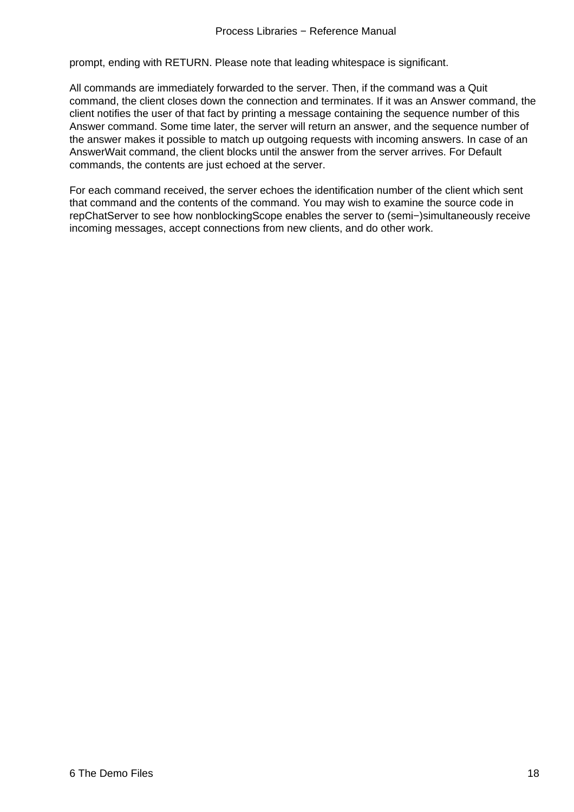prompt, ending with RETURN. Please note that leading whitespace is significant.

All commands are immediately forwarded to the server. Then, if the command was a Quit command, the client closes down the connection and terminates. If it was an Answer command, the client notifies the user of that fact by printing a message containing the sequence number of this Answer command. Some time later, the server will return an answer, and the sequence number of the answer makes it possible to match up outgoing requests with incoming answers. In case of an AnswerWait command, the client blocks until the answer from the server arrives. For Default commands, the contents are just echoed at the server.

For each command received, the server echoes the identification number of the client which sent that command and the contents of the command. You may wish to examine the source code in repChatServer to see how nonblockingScope enables the server to (semi−)simultaneously receive incoming messages, accept connections from new clients, and do other work.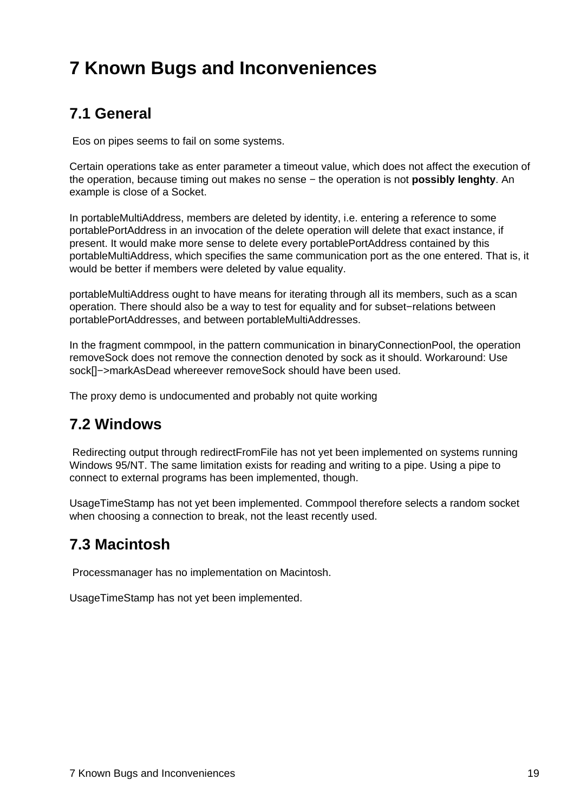# <span id="page-21-0"></span>**7 Known Bugs and Inconveniences**

### **7.1 General**

Eos on pipes seems to fail on some systems.

Certain operations take as enter parameter a timeout value, which does not affect the execution of the operation, because timing out makes no sense − the operation is not **possibly lenghty**. An example is close of a Socket.

In portableMultiAddress, members are deleted by identity, i.e. entering a reference to some portablePortAddress in an invocation of the delete operation will delete that exact instance, if present. It would make more sense to delete every portablePortAddress contained by this portableMultiAddress, which specifies the same communication port as the one entered. That is, it would be better if members were deleted by value equality.

portableMultiAddress ought to have means for iterating through all its members, such as a scan operation. There should also be a way to test for equality and for subset−relations between portablePortAddresses, and between portableMultiAddresses.

In the fragment commpool, in the pattern communication in binaryConnectionPool, the operation removeSock does not remove the connection denoted by sock as it should. Workaround: Use sock[]−>markAsDead whereever removeSock should have been used.

The proxy demo is undocumented and probably not quite working

#### **7.2 Windows**

 Redirecting output through redirectFromFile has not yet been implemented on systems running Windows 95/NT. The same limitation exists for reading and writing to a pipe. Using a pipe to connect to external programs has been implemented, though.

UsageTimeStamp has not yet been implemented. Commpool therefore selects a random socket when choosing a connection to break, not the least recently used.

#### **7.3 Macintosh**

Processmanager has no implementation on Macintosh.

UsageTimeStamp has not yet been implemented.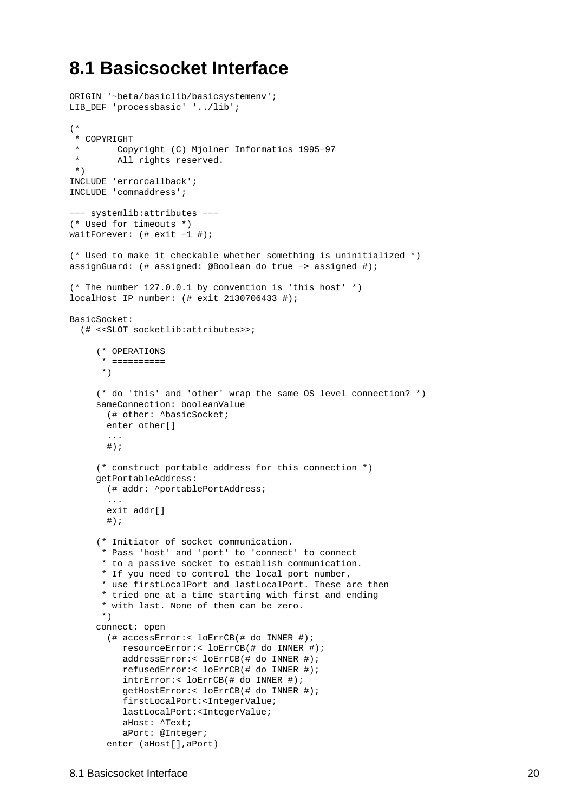### <span id="page-22-0"></span>**8.1 Basicsocket Interface**

```
ORIGIN '~beta/basiclib/basicsystemenv';
LIB_DEF 'processbasic' '../lib';
(*
  * COPYRIGHT
        Copyright (C) Mjolner Informatics 1995-97
  * All rights reserved.
  *)
INCLUDE 'errorcallback';
INCLUDE 'commaddress';
−−− systemlib:attributes −−−
(* Used for timeouts *)
waitForever: (# exit −1 #);
(* Used to make it checkable whether something is uninitialized *)
assignGuard: (# assigned: @Boolean do true −> assigned #);
(* The number 127.0.0.1 by convention is 'this host' *)
localHost_IP_number: (# exit 2130706433 #);
BasicSocket: 
   (# <<SLOT socketlib:attributes>>;
      (* OPERATIONS
       * ==========
       *)
      (* do 'this' and 'other' wrap the same OS level connection? *)
     sameConnection: booleanValue
        (# other: ^basicSocket;
        enter other[]
        ...
       #);
      (* construct portable address for this connection *)
     getPortableAddress:
        (# addr: ^portablePortAddress;
        ...
        exit addr[]
       \#);
      (* Initiator of socket communication. 
       * Pass 'host' and 'port' to 'connect' to connect 
       * to a passive socket to establish communication.
       * If you need to control the local port number, 
       * use firstLocalPort and lastLocalPort. These are then 
       * tried one at a time starting with first and ending 
       * with last. None of them can be zero.
       *)
     connect: open
        (# accessError:< loErrCB(# do INNER #);
           resourceError:< loErrCB(# do INNER #);
           addressError:< loErrCB(# do INNER #);
           refusedError:< loErrCB(# do INNER #);
           intrError:< loErrCB(# do INNER #);
           getHostError:< loErrCB(# do INNER #);
           firstLocalPort:<IntegerValue;
           lastLocalPort:<IntegerValue;
           aHost: ^Text;
           aPort: @Integer;
        enter (aHost[],aPort)
```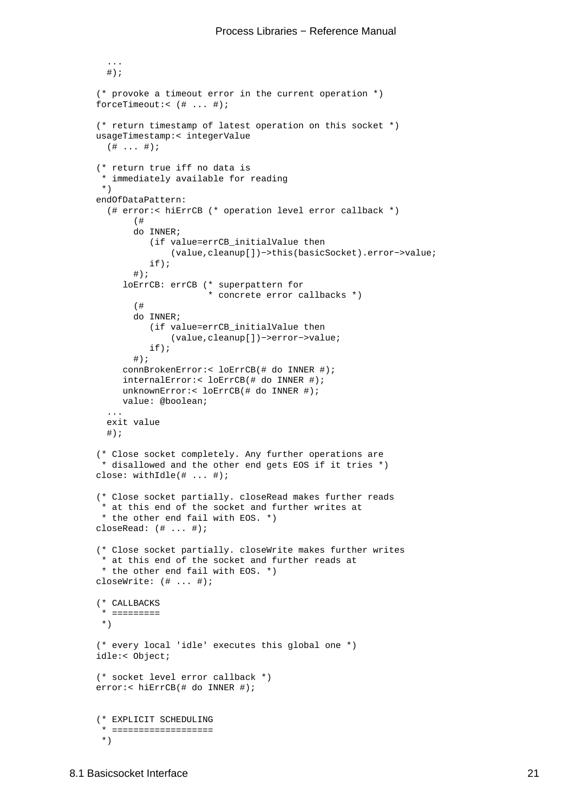```
#);
 (* provoke a timeout error in the current operation *)
forceTimeout:< (# ... #);
 (* return timestamp of latest operation on this socket *)
usageTimestamp:< integerValue
  ( # ... #); (* return true iff no data is 
  * immediately available for reading 
  *)
endOfDataPattern:
   (# error:< hiErrCB (* operation level error callback *)
        (#
        do INNER;
           (if value=errCB_initialValue then
                (value,cleanup[])−>this(basicSocket).error−>value;
           if);
       #);
      loErrCB: errCB (* superpattern for 
                       * concrete error callbacks *)
        (#
        do INNER;
           (if value=errCB_initialValue then
               (value,cleanup[])−>error−>value;
           if);
       #);
      connBrokenError:< loErrCB(# do INNER #);
      internalError:< loErrCB(# do INNER #);
     unknownError:< loErrCB(# do INNER #);
      value: @boolean;
   ...
  exit value
  \#);
 (* Close socket completely. Any further operations are
  * disallowed and the other end gets EOS if it tries *)
close: withIdle(# ... #);
 (* Close socket partially. closeRead makes further reads
 t at this end of the socket and further writes at
  * the other end fail with EOS. *)
closeRead: (# ... #);
 (* Close socket partially. closeWrite makes further writes
  * at this end of the socket and further reads at
  * the other end fail with EOS. *)
closeWrite: (# ... #);
 (* CALLBACKS
  * =========
  *)
 (* every local 'idle' executes this global one *)
idle:< Object;
 (* socket level error callback *)
error:< hiErrCB(# do INNER #);
 (* EXPLICIT SCHEDULING
  * ===================
  *)
```
...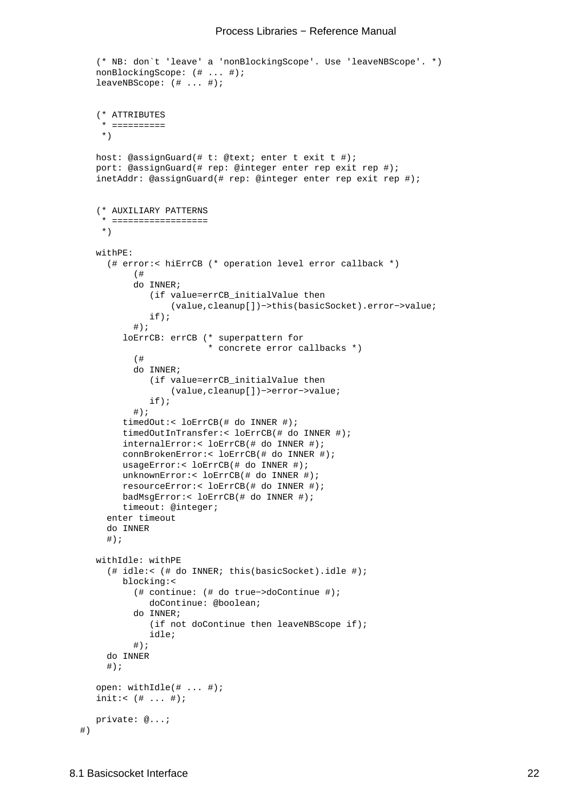#### Process Libraries − Reference Manual

```
 (* NB: don`t 'leave' a 'nonBlockingScope'. Use 'leaveNBScope'. *)
nonBlockingScope: (# ... #);
leaveNBScope: (# ... #);
 (* ATTRIBUTES
  * ==========
  *)
host: @assignGuard(# t: @text; enter t exit t #);
port: @assignGuard(# rep: @integer enter rep exit rep #);
inetAddr: @assignGuard(# rep: @integer enter rep exit rep #);
 (* AUXILIARY PATTERNS
  * ==================
  *)
withPE:
   (# error:< hiErrCB (* operation level error callback *)
        (#
        do INNER;
           (if value=errCB_initialValue then
                (value,cleanup[])−>this(basicSocket).error−>value;
           if);
       #);
      loErrCB: errCB (* superpattern for 
                       * concrete error callbacks *)
        (#
        do INNER;
           (if value=errCB_initialValue then
               (value,cleanup[])−>error−>value;
           if);
       #);
      timedOut:< loErrCB(# do INNER #);
      timedOutInTransfer:< loErrCB(# do INNER #);
      internalError:< loErrCB(# do INNER #);
      connBrokenError:< loErrCB(# do INNER #);
      usageError:< loErrCB(# do INNER #);
      unknownError:< loErrCB(# do INNER #);
      resourceError:< loErrCB(# do INNER #);
      badMsgError:< loErrCB(# do INNER #);
      timeout: @integer;
   enter timeout
   do INNER
  #);
withIdle: withPE
   (# idle:< (# do INNER; this(basicSocket).idle #);
      blocking:<
        (# continue: (# do true−>doContinue #);
           doContinue: @boolean;
        do INNER;
           (if not doContinue then leaveNBScope if);
           idle;
        #);
   do INNER
  #);
open: withIdle(# ... #);
init:< (# ... #);
private: @...;
```
#)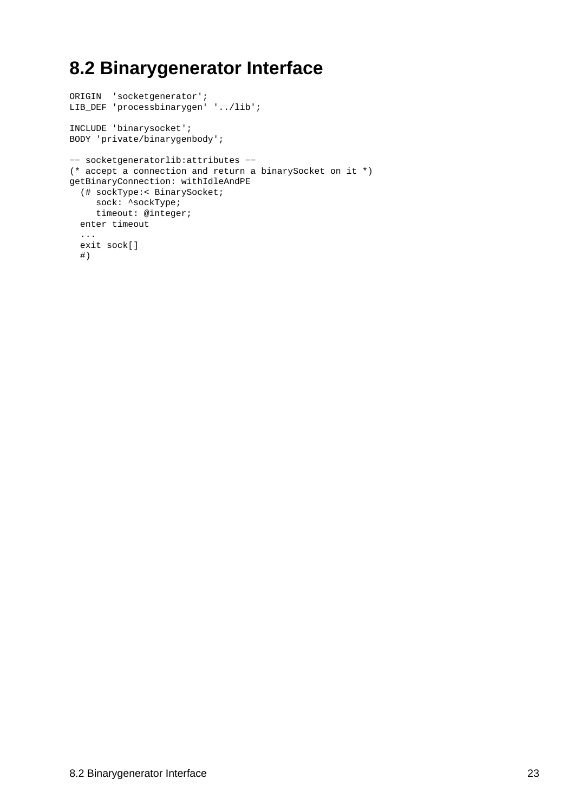# <span id="page-25-0"></span>**8.2 Binarygenerator Interface**

```
ORIGIN 'socketgenerator';
LIB_DEF 'processbinarygen' '../lib';
INCLUDE 'binarysocket';
BODY 'private/binarygenbody';
−− socketgeneratorlib:attributes −−
(* accept a connection and return a binarySocket on it *)
getBinaryConnection: withIdleAndPE
  (# sockType:< BinarySocket;
    sock: ^sockType;
    timeout: @integer;
  enter timeout
   ...
  exit sock[]
  #)
```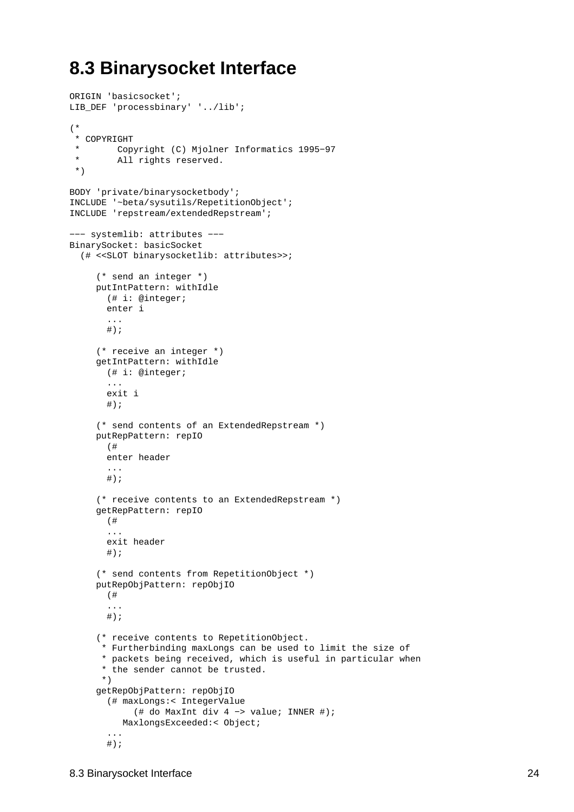### <span id="page-26-0"></span>**8.3 Binarysocket Interface**

```
ORIGIN 'basicsocket';
LIB_DEF 'processbinary' '../lib';
(*
  * COPYRIGHT
         Copyright (C) Mjolner Informatics 1995-97
  * All rights reserved.
  *)
BODY 'private/binarysocketbody';
INCLUDE '~beta/sysutils/RepetitionObject';
INCLUDE 'repstream/extendedRepstream';
−−− systemlib: attributes −−−
BinarySocket: basicSocket
   (# <<SLOT binarysocketlib: attributes>>;
      (* send an integer *)
     putIntPattern: withIdle
        (# i: @integer;
        enter i
        ...
       #);
      (* receive an integer *)
     getIntPattern: withIdle
        (# i: @integer;
        ...
        exit i
       \#);
      (* send contents of an ExtendedRepstream *)
     putRepPattern: repIO
        (# 
        enter header
        ...
       \# ) \, ;
      (* receive contents to an ExtendedRepstream *)
     getRepPattern: repIO
        (# 
        ...
        exit header
       #);
      (* send contents from RepetitionObject *) 
     putRepObjPattern: repObjIO
        (#
        ...
       \# ) \, ;
      (* receive contents to RepetitionObject.
       * Furtherbinding maxLongs can be used to limit the size of 
       * packets being received, which is useful in particular when
       * the sender cannot be trusted.
       *)
     getRepObjPattern: repObjIO
        (# maxLongs:< IntegerValue
             (# do MaxInt div 4 −> value; INNER #);
           MaxlongsExceeded:< Object;
        ...
       \# ) \, ;
```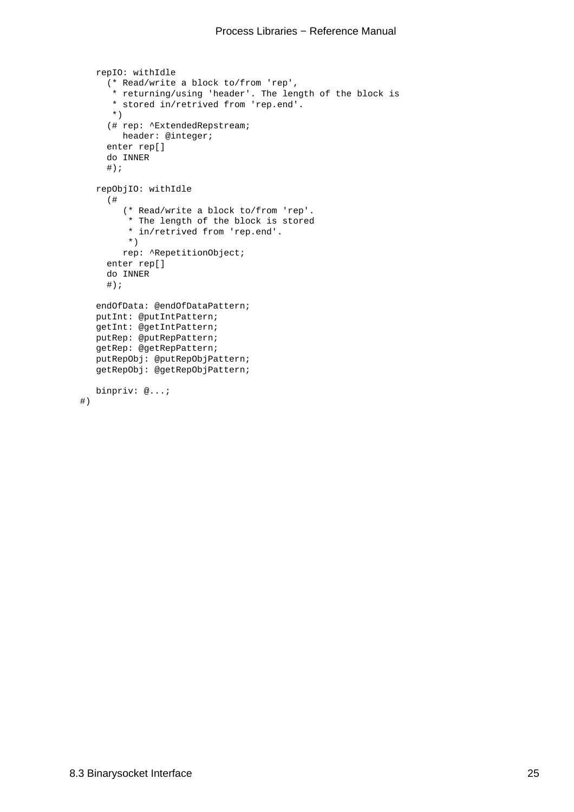```
repIO: withIdle
      (* Read/write a block to/from 'rep',
       * returning/using 'header'. The length of the block is
       * stored in/retrived from 'rep.end'.
       *)
      (# rep: ^ExtendedRepstream;
        header: @integer;
      enter rep[]
      do INNER
     #);
   repObjIO: withIdle
      (# 
         (* Read/write a block to/from 'rep'. 
          * The length of the block is stored
          * in/retrived from 'rep.end'.
          *)
         rep: ^RepetitionObject;
      enter rep[]
      do INNER
     \#);
   endOfData: @endOfDataPattern;
  putInt: @putIntPattern;
  getInt: @getIntPattern;
  putRep: @putRepPattern;
  getRep: @getRepPattern;
  putRepObj: @putRepObjPattern;
  getRepObj: @getRepObjPattern;
  binpriv: @...;
 #)
```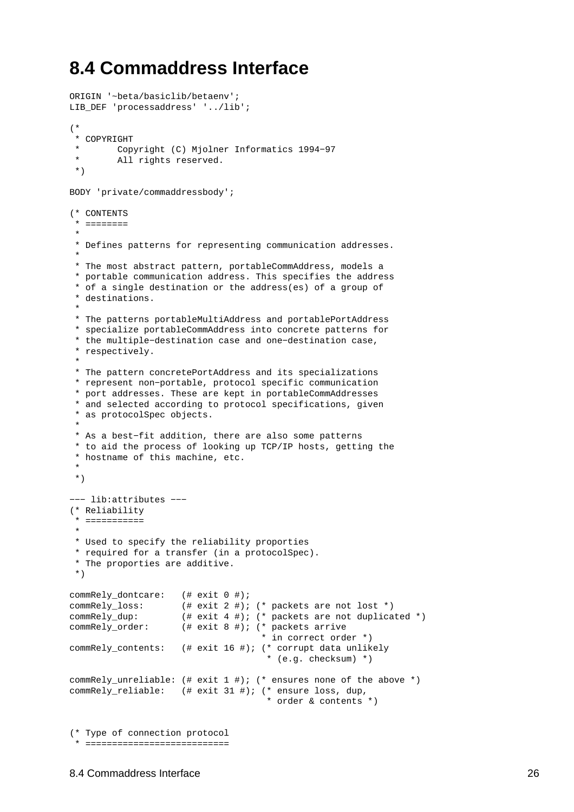### <span id="page-28-0"></span>**8.4 Commaddress Interface**

ORIGIN '~beta/basiclib/betaenv';

```
LIB_DEF 'processaddress' '../lib';
(*
  * COPYRIGHT
        Copyright (C) Mjolner Informatics 1994-97
  * All rights reserved.
  *)
BODY 'private/commaddressbody';
(* CONTENTS
  * ========
 *
  * Defines patterns for representing communication addresses.
 *
  * The most abstract pattern, portableCommAddress, models a
  * portable communication address. This specifies the address
  * of a single destination or the address(es) of a group of
  * destinations.
 *
  * The patterns portableMultiAddress and portablePortAddress
  * specialize portableCommAddress into concrete patterns for
  * the multiple−destination case and one−destination case,
  * respectively.
 *
  * The pattern concretePortAddress and its specializations
  * represent non−portable, protocol specific communication
  * port addresses. These are kept in portableCommAddresses
  * and selected according to protocol specifications, given
  * as protocolSpec objects.
 * 
  * As a best−fit addition, there are also some patterns
  * to aid the process of looking up TCP/IP hosts, getting the
  * hostname of this machine, etc.
 * 
  *)
−−− lib:attributes −−−
(* Reliability
  * ===========
 *
  * Used to specify the reliability proporties
  * required for a transfer (in a protocolSpec).
  * The proporties are additive. 
  *)
commRely_dontcare: (# exit 0 #);
commRely_loss: (# exit 2 #); (* packets are not lost *)
commRely_dup: (# exit 4 #); (* packets are not duplicated *)
commRely_order: (# exit 8 #); (* packets arrive 
                                     * in correct order *)
commRely_contents: (# exit 16 #); (* corrupt data unlikely 
                                       * (e.g. checksum) *)
commRely_unreliable: (# exit 1 #); (* ensures none of the above *)
commRely_reliable: (# exit 31 #); (* ensure loss, dup, 
                                      * order & contents *)
(* Type of connection protocol
  * ===========================
```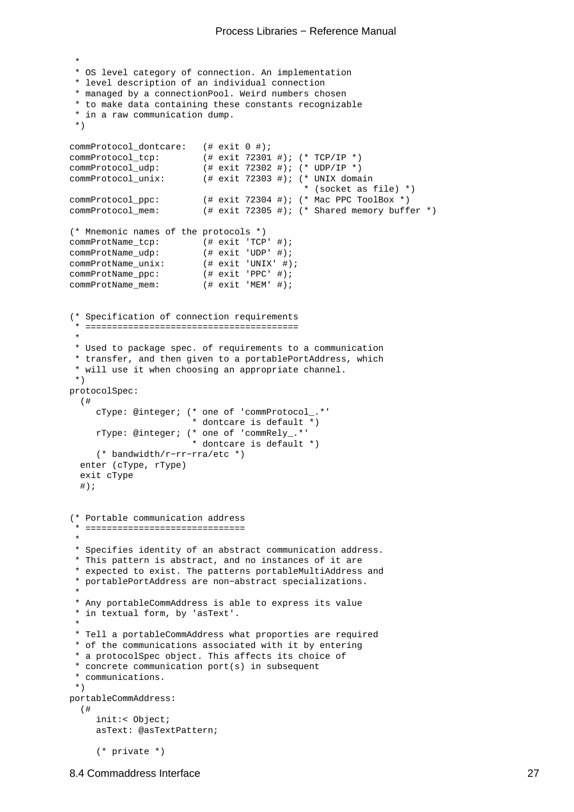#### Process Libraries − Reference Manual

```
 *
  * OS level category of connection. An implementation
  * level description of an individual connection
  * managed by a connectionPool. Weird numbers chosen
  * to make data containing these constants recognizable
  * in a raw communication dump.
  *)
commProtocol_dontcare: (# exit 0 #);
commProtocol_tcp: (# exit 72301 #); (* TCP/IP *)
commProtocol_udp: (\# \text{ exit } 72302 \#); (\* \text{ UDP/IP } *)<br>commProtocol_unix: (\# \text{ exit } 72303 \#); (\* \text{ UNIX} \text{ doma})(# exit 72303 #); (* UNIX domain
 * (socket as file) *)
commProtocol_ppc: (# exit 72304 #); (* Mac PPC ToolBox *)
commProtocol_mem: (# exit 72305 #); (* Shared memory buffer *)
(* Mnemonic names of the protocols *)
commProtName_tcp: (\# exit 'TCP' #);<br>commProtName_udp: (\# exit 'UDP' #);commProtName_udp: (# exit 'UDP' #);<br>commProtName_unix: (# exit 'UNIX' #);commProtName_unix: ( # exit 'UNIX' #)<br>commProthame\_ppc: ( # exit 'PPC' #);commProtName\_ppc:
commProtName_mem: (# exit 'MEM' #);
(* Specification of connection requirements
  * ========================================
 *
  * Used to package spec. of requirements to a communication
  * transfer, and then given to a portablePortAddress, which
  * will use it when choosing an appropriate channel.
  *)
protocolSpec:
   (#
     cType: @integer; (* one of 'commProtocol_.*'
                          * dontcare is default *)
     rType: @integer; (* one of 'commRely_.*'
                          * dontcare is default *)
      (* bandwidth/r−rr−rra/etc *)
   enter (cType, rType)
   exit cType
   #);
(* Portable communication address
  * ==============================
 *
  * Specifies identity of an abstract communication address.
  * This pattern is abstract, and no instances of it are
  * expected to exist. The patterns portableMultiAddress and
  * portablePortAddress are non−abstract specializations.
 *
  * Any portableCommAddress is able to express its value
  * in textual form, by 'asText'.
 * 
  * Tell a portableCommAddress what proporties are required
  * of the communications associated with it by entering
  * a protocolSpec object. This affects its choice of
  * concrete communication port(s) in subsequent
  * communications.
  *)
portableCommAddress:
   (#
     init:< Object;
     asText: @asTextPattern;
      (* private *)
```
#### 8.4 Commaddress Interface 27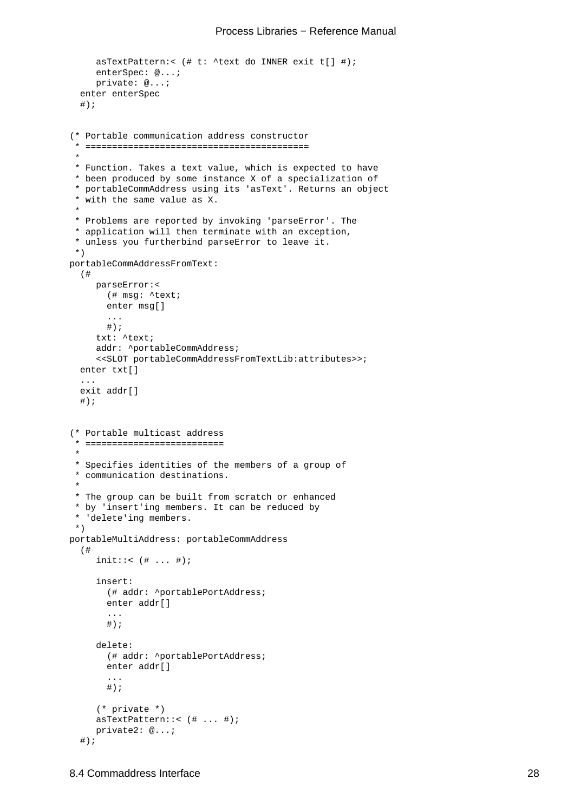```
asTextPattern:< (# t: ^text do INNER exit t[] #);
     enterSpec: @...;
     private: @...;
   enter enterSpec
  \#);
(* Portable communication address constructor
  * ==========================================
 *
  * Function. Takes a text value, which is expected to have
  * been produced by some instance X of a specialization of
  * portableCommAddress using its 'asText'. Returns an object
  * with the same value as X.
 *
  * Problems are reported by invoking 'parseError'. The 
  * application will then terminate with an exception,
  * unless you furtherbind parseError to leave it.
  *)
portableCommAddressFromText:
   (# 
     parseError:<
        (# msg: ^text;
        enter msg[]
        ...
       \#);
     txt: ^text;
     addr: ^portableCommAddress;
      <<SLOT portableCommAddressFromTextLib:attributes>>;
   enter txt[]
   ...
   exit addr[]
  \#);
(* Portable multicast address
   * ==========================
 *
  * Specifies identities of the members of a group of
  * communication destinations.
 *
  * The group can be built from scratch or enhanced
  * by 'insert'ing members. It can be reduced by
  * 'delete'ing members. 
  *)
portableMultiAddress: portableCommAddress
   (#
     init::< ( # ... #);
     insert:
        (# addr: ^portablePortAddress;
        enter addr[]
        ...
       \#);
     delete:
        (# addr: ^portablePortAddress;
        enter addr[]
        ...
       #);
      (* private *)
     asTextPattern::< (# ... #);
     private2: @...;
  \#);
```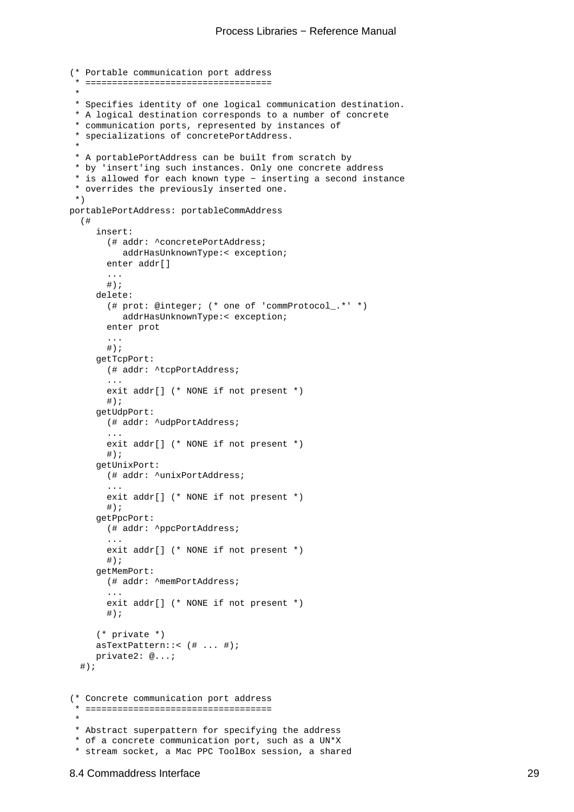```
(* Portable communication port address
  * ===================================
 *
  * Specifies identity of one logical communication destination.
  * A logical destination corresponds to a number of concrete
  * communication ports, represented by instances of
  * specializations of concretePortAddress.
 *
  * A portablePortAddress can be built from scratch by
  * by 'insert'ing such instances. Only one concrete address
  * is allowed for each known type − inserting a second instance
  * overrides the previously inserted one. 
  *)
portablePortAddress: portableCommAddress
   (#
     insert:
        (# addr: ^concretePortAddress;
           addrHasUnknownType:< exception;
        enter addr[]
        ...
       #);
     delete:
        (# prot: @integer; (* one of 'commProtocol_.*' *)
           addrHasUnknownType:< exception;
        enter prot
        ...
       \# ) \, ;
     getTcpPort:
        (# addr: ^tcpPortAddress;
        ...
        exit addr[] (* NONE if not present *)
        #);
     getUdpPort:
        (# addr: ^udpPortAddress;
        ...
        exit addr[] (* NONE if not present *)
       #);
     getUnixPort:
        (# addr: ^unixPortAddress;
 ...
        exit addr[] (* NONE if not present *)
       \#);
     getPpcPort:
        (# addr: ^ppcPortAddress;
 ...
       exit addr[] (* NONE if not present *)
       \#);
     getMemPort:
        (# addr: ^memPortAddress;
        ...
        exit addr[] (* NONE if not present *)
       \#);
      (* private *)
     asTextPattern::< (# ... #);
     private2: @...;
  #);
(* Concrete communication port address
  * ===================================
 *
  * Abstract superpattern for specifying the address
  * of a concrete communication port, such as a UN*X
  * stream socket, a Mac PPC ToolBox session, a shared
```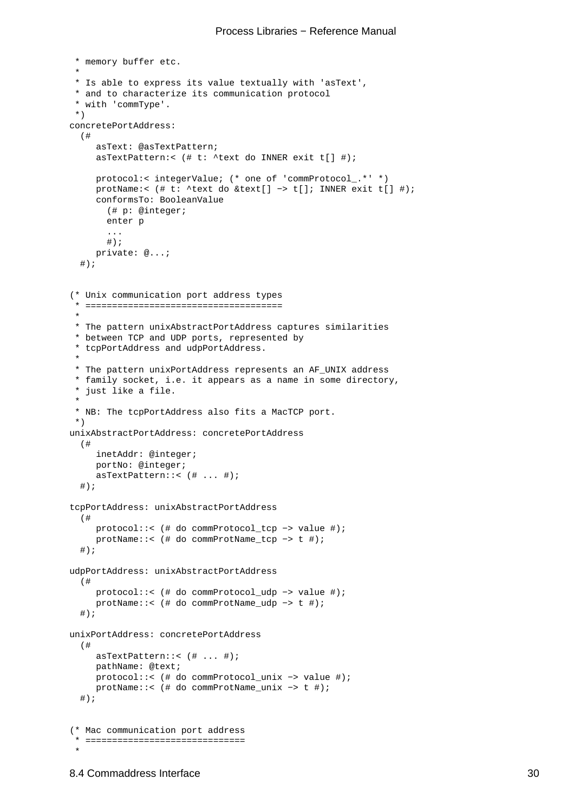```
 * memory buffer etc.
 *
 * Is able to express its value textually with 'asText',
 * and to characterize its communication protocol
  * with 'commType'. 
 *)
concretePortAddress:
   (#
     asText: @asTextPattern;
    asTextPattern:< (# t: ^text do INNER exit t[] #);
    protocol:< integerValue; (* one of 'commProtocol_.*' *)
     protName:< (# t: ^text do &text[] −> t[]; INNER exit t[] #);
     conformsTo: BooleanValue
        (# p: @integer;
        enter p
        ...
       #);
    private: @...;
   #);
(* Unix communication port address types
  * =====================================
 *
 * The pattern unixAbstractPortAddress captures similarities
 * between TCP and UDP ports, represented by
  * tcpPortAddress and udpPortAddress. 
 *
 * The pattern unixPortAddress represents an AF_UNIX address
 * family socket, i.e. it appears as a name in some directory,
  * just like a file. 
 * 
  * NB: The tcpPortAddress also fits a MacTCP port.
  *)
unixAbstractPortAddress: concretePortAddress
   (#
     inetAddr: @integer;
     portNo: @integer;
     asTextPattern::< (# ... #);
  \#);
tcpPortAddress: unixAbstractPortAddress
  (#
    protocol::< (# do commProtocol_tcp −> value #);
    protName::< (# do commProtName_tcp −> t #);
   #);
udpPortAddress: unixAbstractPortAddress
   (#
    protocol::< (# do commProtocol_udp −> value #);
    protName::< (# do commProtName_udp −> t #);
  \#);
unixPortAddress: concretePortAddress
   (#
    asTextPattern::< (# ... #);
    pathName: @text;
    protocol::< (# do commProtocol_unix −> value #);
    protName::< (# do commProtName_unix −> t #);
  \#);
(* Mac communication port address
  * ==============================
 *
```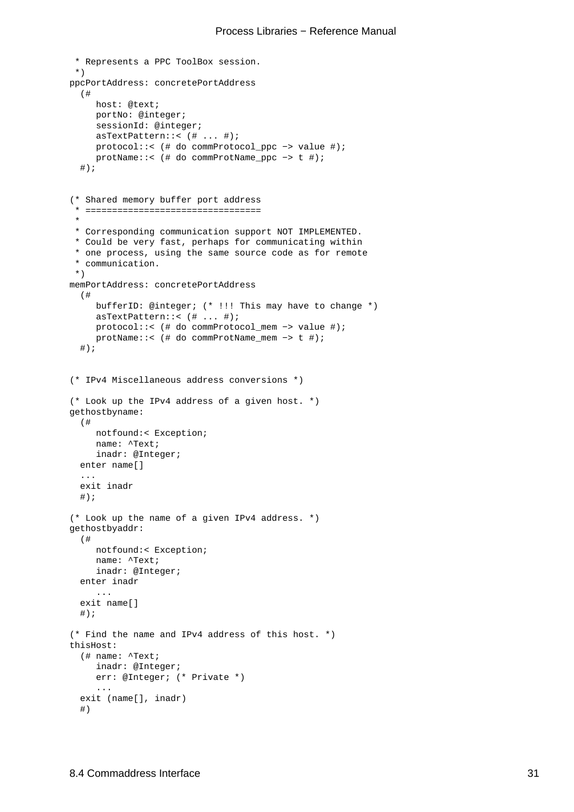```
 * Represents a PPC ToolBox session.
  *)
ppcPortAddress: concretePortAddress
  (#
    host: @text;
    portNo: @integer;
    sessionId: @integer;
    asTextPattern::< (# ... #);
    protocol::< (# do commProtocol_ppc −> value #);
    protName::< (# do commProtName_ppc −> t #);
  #);
(* Shared memory buffer port address
  * =================================
 * 
  * Corresponding communication support NOT IMPLEMENTED.
  * Could be very fast, perhaps for communicating within
  * one process, using the same source code as for remote
  * communication.
  *)
memPortAddress: concretePortAddress
   (#
    bufferID: @integer; (* !!! This may have to change *)
    asTextPattern::< (# ... #);
    protocol::< (# do commProtocol_mem −> value #);
    protName::< (# do commProtName_mem −> t #);
  #);
(* IPv4 Miscellaneous address conversions *)
(* Look up the IPv4 address of a given host. *)
gethostbyname:
  (#
    notfound:< Exception;
     name: ^Text; 
     inadr: @Integer; 
   enter name[]
   ...
   exit inadr
  #);
(* Look up the name of a given IPv4 address. *)
gethostbyaddr:
   (#
    notfound:< Exception;
    name: ^Text;
    inadr: @Integer;
   enter inadr
      ...
   exit name[]
  \#);
(* Find the name and IPv4 address of this host. *)
thisHost:
   (# name: ^Text;
     inadr: @Integer;
     err: @Integer; (* Private *)
      ...
   exit (name[], inadr)
   #)
```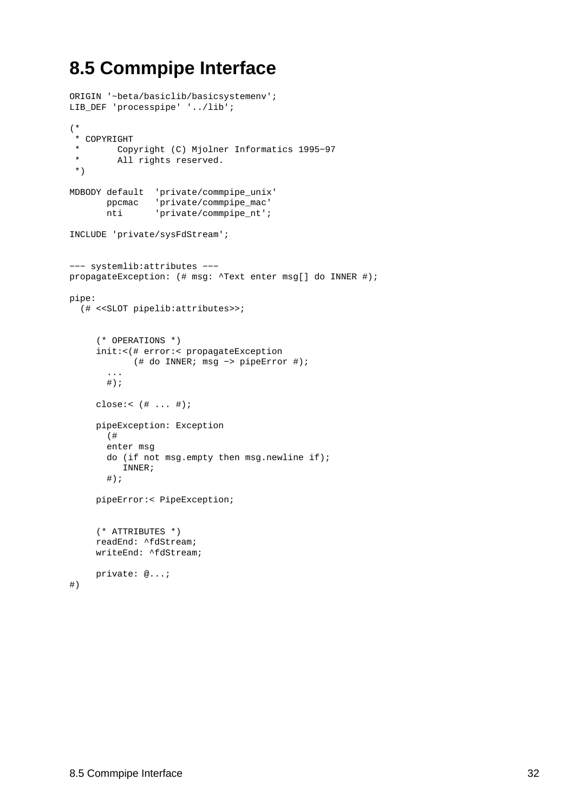## <span id="page-34-0"></span>**8.5 Commpipe Interface**

```
ORIGIN '~beta/basiclib/basicsystemenv';
LIB_DEF 'processpipe' '../lib';
(*
  * COPYRIGHT
  * Copyright (C) Mjolner Informatics 1995−97
  * All rights reserved.
  *)
MDBODY default 'private/commpipe_unix'
       ppcmac 'private/commpipe_mac'
       nti 'private/commpipe_nt';
INCLUDE 'private/sysFdStream';
−−− systemlib:attributes −−−
propagateException: (# msg: ^Text enter msg[] do INNER #);
pipe:
  (# <<SLOT pipelib:attributes>>;
      (* OPERATIONS *)
     init:<(# error:< propagateException
             (# do INNER; msg −> pipeError #);
        ...
       \#);
     close:< (# ... #);
     pipeException: Exception
       (#
        enter msg
        do (if not msg.empty then msg.newline if);
          INNER;
       \# ) \, ;
     pipeError:< PipeException;
      (* ATTRIBUTES *)
     readEnd: ^fdStream;
     writeEnd: ^fdStream;
    private: @...;
#)
```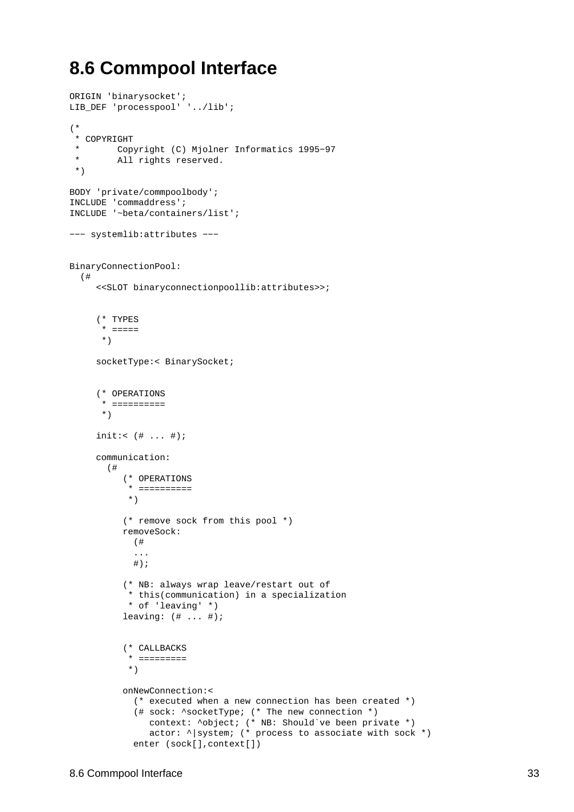### <span id="page-35-0"></span>**8.6 Commpool Interface**

```
ORIGIN 'binarysocket';
LIB_DEF 'processpool' '../lib';
(*
  * COPYRIGHT
  * Copyright (C) Mjolner Informatics 1995−97
  * All rights reserved.
  *)
BODY 'private/commpoolbody';
INCLUDE 'commaddress';
INCLUDE '~beta/containers/list';
−−− systemlib:attributes −−−
BinaryConnectionPool:
   (#
      <<SLOT binaryconnectionpoollib:attributes>>;
      (* TYPES
       * =====
       *)
     socketType:< BinarySocket;
      (* OPERATIONS
       * ==========
       *)
     init: ( # ... #);
     communication:
        (#
           (* OPERATIONS
            * ==========
            *)
           (* remove sock from this pool *)
           removeSock:
             (#
             ...
            #);
           (* NB: always wrap leave/restart out of
            * this(communication) in a specialization
            * of 'leaving' *)
           leaving: (# ... #);
           (* CALLBACKS
            * =========
            *)
           onNewConnection:<
             (* executed when a new connection has been created *)
             (# sock: ^socketType; (* The new connection *)
                context: ^object; (* NB: Should`ve been private *)
               actor: \land system; (* process to associate with sock *)
            enter (sock[], context[])
```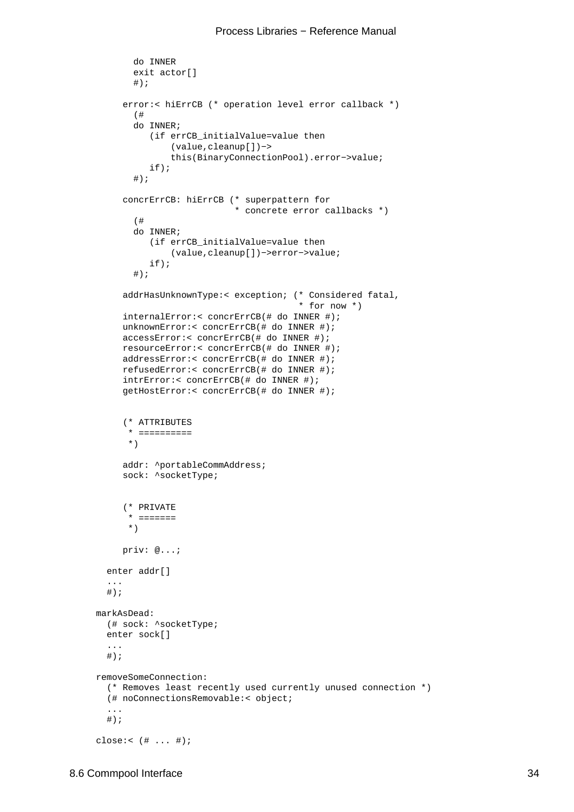```
 do INNER
        exit actor[]
       \#);
      error:< hiErrCB (* operation level error callback *)
        (#
        do INNER;
           (if errCB_initialValue=value then
                (value,cleanup[])−>
               this(BinaryConnectionPool).error−>value;
           if);
       #);
      concrErrCB: hiErrCB (* superpattern for 
                            * concrete error callbacks *)
        (#
        do INNER;
           (if errCB_initialValue=value then
                (value,cleanup[])−>error−>value;
           if);
        #);
      addrHasUnknownType:< exception; (* Considered fatal, 
                                         * for now *)
      internalError:< concrErrCB(# do INNER #);
     unknownError:< concrErrCB(# do INNER #);
      accessError:< concrErrCB(# do INNER #);
      resourceError:< concrErrCB(# do INNER #);
      addressError:< concrErrCB(# do INNER #);
      refusedError:< concrErrCB(# do INNER #);
      intrError:< concrErrCB(# do INNER #);
      getHostError:< concrErrCB(# do INNER #);
      (* ATTRIBUTES
       * ==========
       *)
      addr: ^portableCommAddress;
      sock: ^socketType; 
      (* PRIVATE
       * =======
       *)
      priv: @...;
  enter addr[]
   ...
  #);
markAsDead:
  (# sock: ^socketType;
  enter sock[]
   ...
 #);
removeSomeConnection:
   (* Removes least recently used currently unused connection *)
   (# noConnectionsRemovable:< object;
   ...
  #);
close:< (# ... #);
```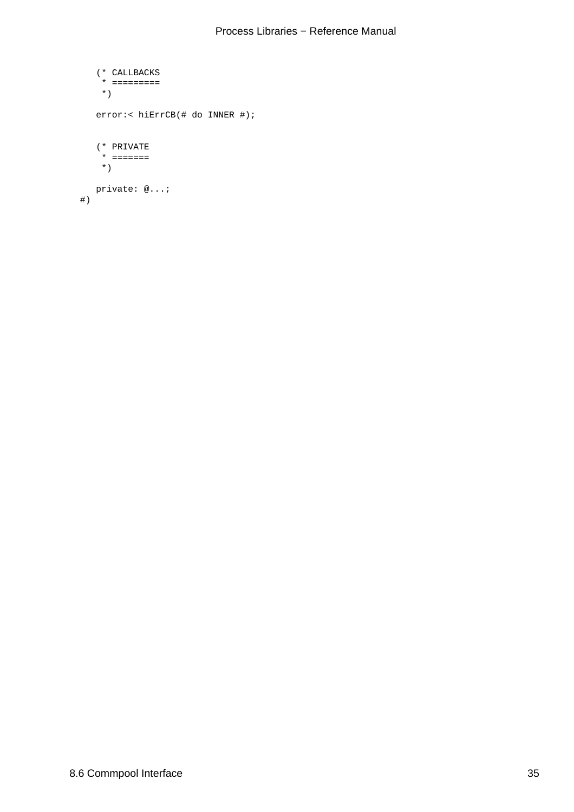```
 (* CALLBACKS
      * =========
      *)
    error:< hiErrCB(# do INNER #);
     (* PRIVATE
      * =======
      *)
     private: @...;
 #)
```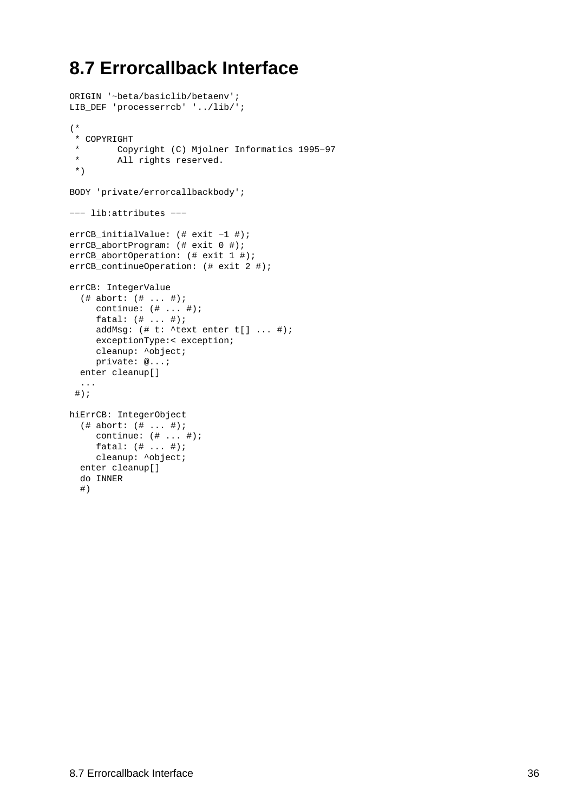## <span id="page-38-0"></span>**8.7 Errorcallback Interface**

```
ORIGIN '~beta/basiclib/betaenv';
LIB_DEF 'processerrcb' '../lib/';
(*
  * COPYRIGHT
  * Copyright (C) Mjolner Informatics 1995−97
  * All rights reserved.
  *)
BODY 'private/errorcallbackbody';
−−− lib:attributes −−−
errCB_initialValue: (# exit −1 #);
errCB_abortProgram: (# exit 0 #);
errCB_abortOperation: (# exit 1 #);
errCB_continueOperation: (# exit 2 #);
errCB: IntegerValue
   (# abort: (# ... #);
     continue: (# ... #);
     fatal: (# ... #);
     addMsq: (\# t: \text{ 'text enter } t[] ... \#);exceptionType:< exception;
     cleanup: ^object;
     private: @...;
   enter cleanup[]
   ...
 #);
hiErrCB: IntegerObject
   (# abort: (# ... #);
    continue: (# ... #);
    fatal: (# ... #);
    cleanup: ^object;
   enter cleanup[]
   do INNER
   #)
```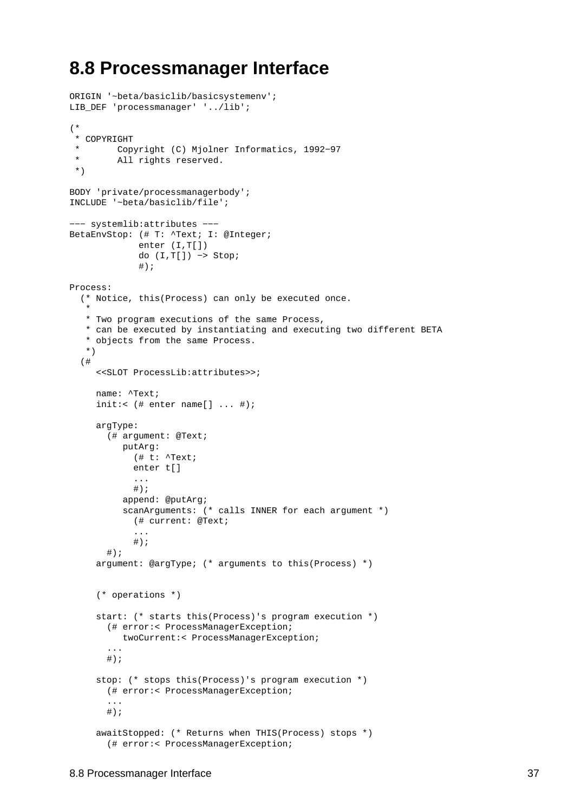### <span id="page-39-0"></span>**8.8 Processmanager Interface**

```
ORIGIN '~beta/basiclib/basicsystemenv';
LIB_DEF 'processmanager' '../lib';
(*
  * COPYRIGHT
        Copyright (C) Mjolner Informatics, 1992-97
  * All rights reserved.
  *)
BODY 'private/processmanagerbody';
INCLUDE '~beta/basiclib/file';
−−− systemlib:attributes −−−
BetaEnvStop: (# T: ^Text; I: @Integer;
              enter (I,T[])
              do (I,T[]) −> Stop;
              #);
Process:
   (* Notice, this(Process) can only be executed once.
 *
    * Two program executions of the same Process,
    * can be executed by instantiating and executing two different BETA 
    * objects from the same Process.
    *)
   (#
      <<SLOT ProcessLib:attributes>>;
     name: ^Text;
     init:< (\# enter name[] ... \#);
     argType:
        (# argument: @Text;
           putArg:
             (# t: ^Text;
             enter t[]
             ...
            #);
           append: @putArg;
           scanArguments: (* calls INNER for each argument *)
             (# current: @Text; 
             ...
            #);
       #);
     argument: @argType; (* arguments to this(Process) *)
      (* operations *)
     start: (* starts this(Process)'s program execution *)
        (# error:< ProcessManagerException;
           twoCurrent:< ProcessManagerException;
        ...
       #);
     stop: (* stops this(Process)'s program execution *)
        (# error:< ProcessManagerException;
        ...
       \#) ;
     awaitStopped: (* Returns when THIS(Process) stops *)
        (# error:< ProcessManagerException;
```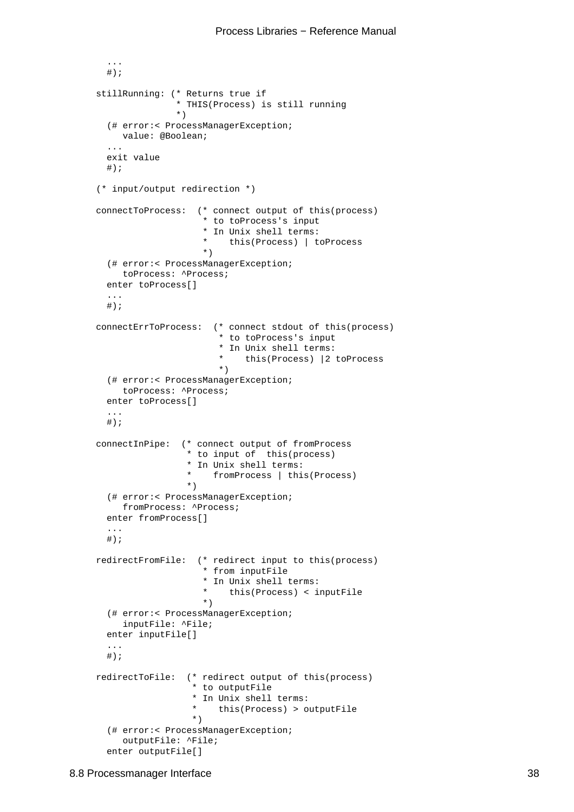```
#);
    stillRunning: (* Returns true if 
                    * THIS(Process) is still running 
 *)
       (# error:< ProcessManagerException;
          value: @Boolean;
       ...
       exit value
      #);
     (* input/output redirection *)
    connectToProcess: (* connect output of this(process) 
                         * to toProcess's input
                        * In Unix shell terms:<br>* this (Process) +
                           this(Process) | toProcess
\rightarrow )
       (# error:< ProcessManagerException;
          toProcess: ^Process;
       enter toProcess[]
       ...
      #);
    connectErrToProcess: (* connect stdout of this(process) 
                            * to toProcess's input
                            * In Unix shell terms: 
                            * this(Process) |2 toProcess
\rightarrow )
       (# error:< ProcessManagerException;
          toProcess: ^Process;
       enter toProcess[]
        ...
      #);
    connectInPipe: (* connect output of fromProcess 
                      * to input of this(process) 
                      * In Unix shell terms: 
                      * fromProcess | this(Process)
\rightarrow )
       (# error:< ProcessManagerException;
          fromProcess: ^Process;
       enter fromProcess[]
        ...
      #);
    redirectFromFile: (* redirect input to this(process) 
                         * from inputFile
                         * In Unix shell terms: 
                            this(Process) < inputFile
\rightarrow )
       (# error:< ProcessManagerException;
          inputFile: ^File;
       enter inputFile[]
        ...
      #);
    redirectToFile: (* redirect output of this(process)
                       * to outputFile
                       * In Unix shell terms: 
                       * this(Process) > outputFile
\star )
       (# error:< ProcessManagerException;
          outputFile: ^File;
       enter outputFile[]
```
...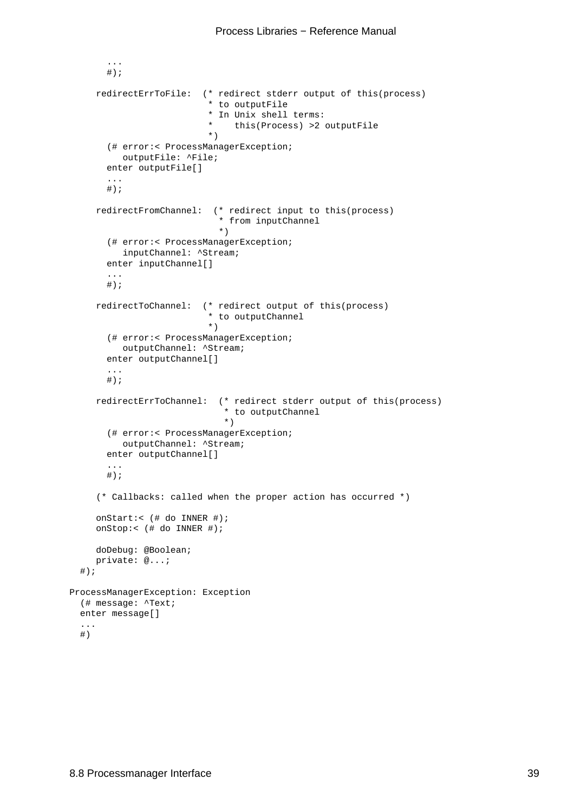```
 ...
       #);
     redirectErrToFile: (* redirect stderr output of this(process)
                            * to outputFile
                             * In Unix shell terms: 
                            * this(Process) >2 outputFile
\left( \begin{array}{c} \star \\ \star \end{array} \right) (# error:< ProcessManagerException;
           outputFile: ^File;
       enter outputFile[]
        ...
       #);
     redirectFromChannel: (* redirect input to this(process) 
                              * from inputChannel 
\rightarrow )
        (# error:< ProcessManagerException;
           inputChannel: ^Stream;
        enter inputChannel[]
        ...
       #);
     redirectToChannel: (* redirect output of this(process) 
                            * to outputChannel 
\left( \begin{array}{c} \star \\ \star \end{array} \right) (# error:< ProcessManagerException;
           outputChannel: ^Stream;
        enter outputChannel[]
        ...
       \# ) \, ;
     redirectErrToChannel: (* redirect stderr output of this(process) 
                                * to outputChannel 
\rightarrow )
        (# error:< ProcessManagerException;
           outputChannel: ^Stream;
        enter outputChannel[]
        ...
       #);
      (* Callbacks: called when the proper action has occurred *)
     onStart:< (# do INNER #);
     onStop:< (# do INNER #);
     doDebug: @Boolean;
    private: @...;
  #);
ProcessManagerException: Exception
   (# message: ^Text;
  enter message[]
   ...
```
#)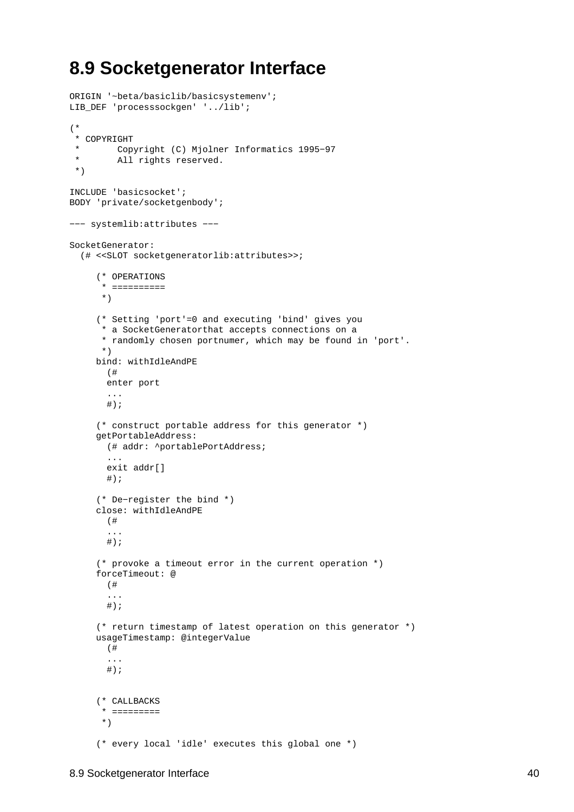### <span id="page-42-0"></span>**8.9 Socketgenerator Interface**

```
ORIGIN '~beta/basiclib/basicsystemenv';
LIB_DEF 'processsockgen' '../lib';
(*
  * COPYRIGHT
          * Copyright (C) Mjolner Informatics 1995−97
  * All rights reserved.
  *)
INCLUDE 'basicsocket';
BODY 'private/socketgenbody';
−−− systemlib:attributes −−−
SocketGenerator:
   (# <<SLOT socketgeneratorlib:attributes>>;
      (* OPERATIONS
       * ==========
       *)
      (* Setting 'port'=0 and executing 'bind' gives you 
       * a SocketGeneratorthat accepts connections on a 
       * randomly chosen portnumer, which may be found in 'port'.
       *)
     bind: withIdleAndPE
        (# 
        enter port
        ...
       \#);
      (* construct portable address for this generator *)
     getPortableAddress:
        (# addr: ^portablePortAddress;
        ...
        exit addr[]
       \# ) \, ;
      (* De−register the bind *)
     close: withIdleAndPE
        (# 
        ...
       #);
      (* provoke a timeout error in the current operation *)
     forceTimeout: @
        (#
        ...
       \#);
      (* return timestamp of latest operation on this generator *)
     usageTimestamp: @integerValue
        (#
        ...
       #);
      (* CALLBACKS
       * =========
       *)
      (* every local 'idle' executes this global one *)
```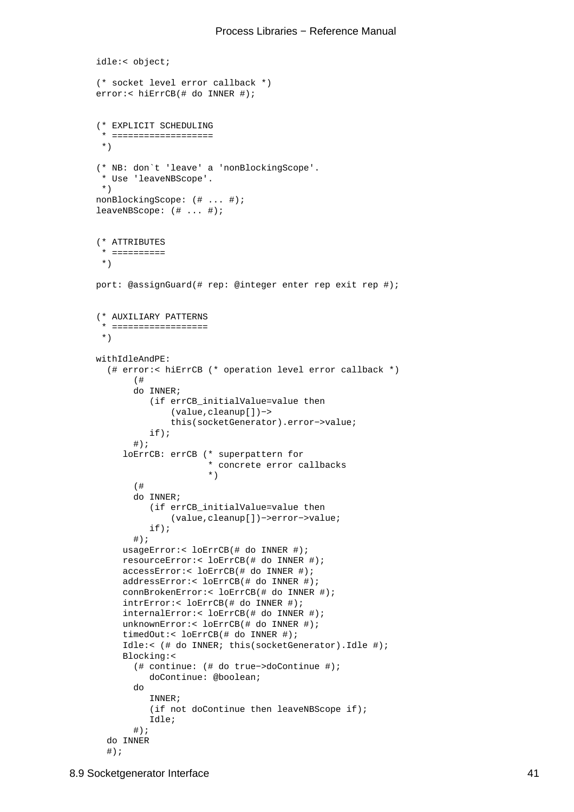```
idle:< object;
      (* socket level error callback *)
     error:< hiErrCB(# do INNER #);
      (* EXPLICIT SCHEDULING
       * ===================
       *)
      (* NB: don`t 'leave' a 'nonBlockingScope'. 
       * Use 'leaveNBScope'. 
       *)
     nonBlockingScope: (# ... #);
     leaveNBScope: (# ... #);
      (* ATTRIBUTES
       * ==========
       *)
     port: @assignGuard(# rep: @integer enter rep exit rep #);
      (* AUXILIARY PATTERNS
       * ==================
       *)
     withIdleAndPE:
        (# error:< hiErrCB (* operation level error callback *)
             (#
             do INNER;
                 (if errCB_initialValue=value then 
                     (value,cleanup[])−>
                     this(socketGenerator).error−>value;
                 if);
            #);
           loErrCB: errCB (* superpattern for 
                            * concrete error callbacks 
\left( \begin{array}{c} \star \\ \star \end{array} \right) (#
             do INNER;
                 (if errCB_initialValue=value then 
                     (value,cleanup[])−>error−>value;
                 if);
            #);
          usageError:< loErrCB(# do INNER #);
           resourceError:< loErrCB(# do INNER #);
           accessError:< loErrCB(# do INNER #);
           addressError:< loErrCB(# do INNER #);
           connBrokenError:< loErrCB(# do INNER #);
           intrError:< loErrCB(# do INNER #);
           internalError:< loErrCB(# do INNER #);
           unknownError:< loErrCB(# do INNER #);
           timedOut:< loErrCB(# do INNER #);
           Idle:< (# do INNER; this(socketGenerator).Idle #);
           Blocking:<
             (# continue: (# do true−>doContinue #);
                doContinue: @boolean;
             do
                INNER;
                 (if not doContinue then leaveNBScope if);
                 Idle;
            #);
        do INNER
```

```
#);
```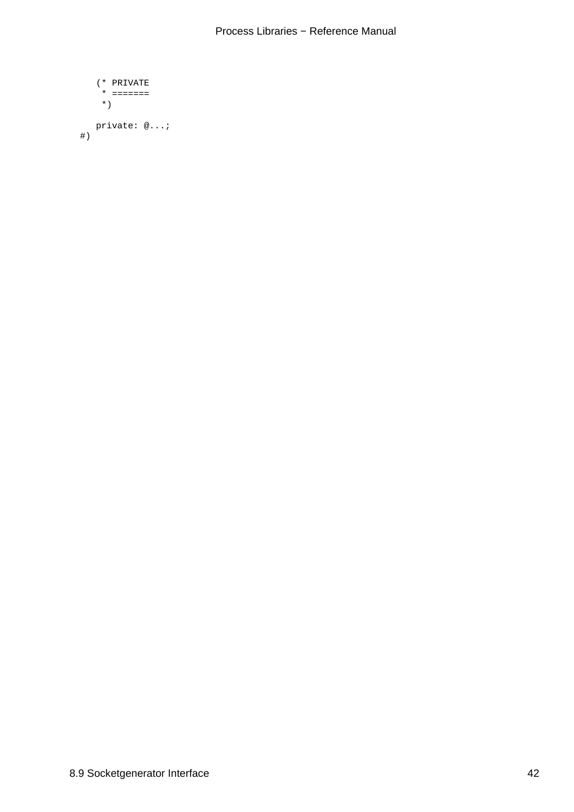```
 (* PRIVATE
       * =======
       *)
     private: @...;
 #)
```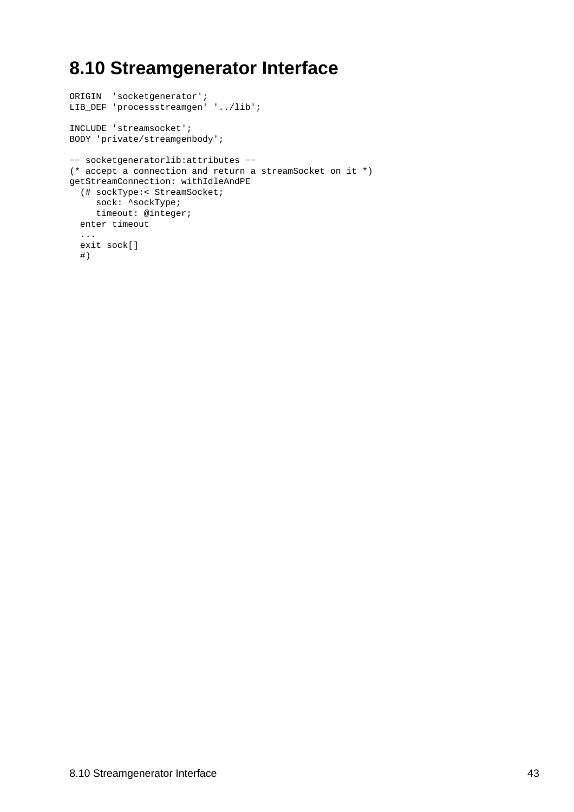## <span id="page-45-0"></span>**8.10 Streamgenerator Interface**

```
ORIGIN 'socketgenerator';
LIB_DEF 'processstreamgen' '../lib';
INCLUDE 'streamsocket';
BODY 'private/streamgenbody';
−− socketgeneratorlib:attributes −−
(* accept a connection and return a streamSocket on it *)
getStreamConnection: withIdleAndPE
  (# sockType:< StreamSocket;
    sock: ^sockType;
    timeout: @integer;
  enter timeout
   ...
  exit sock[]
  #)
```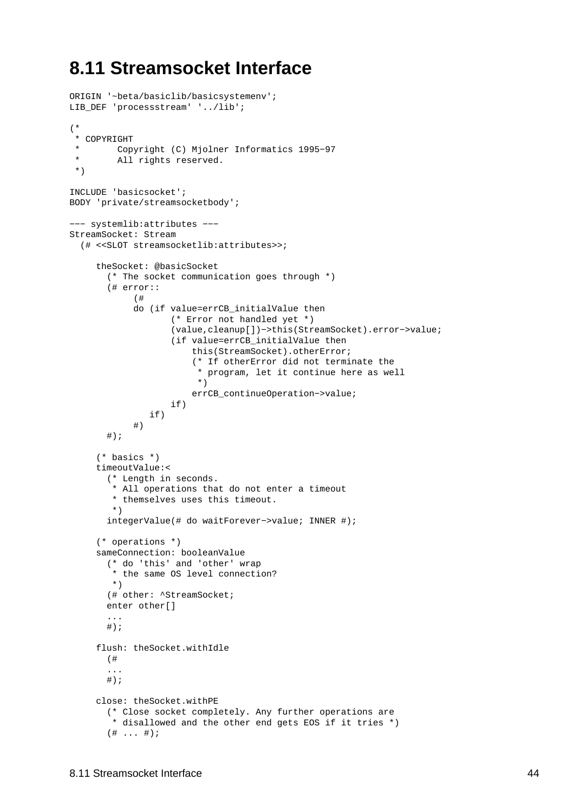### <span id="page-46-0"></span>**8.11 Streamsocket Interface**

```
ORIGIN '~beta/basiclib/basicsystemenv';
LIB_DEF 'processstream' '../lib';
(*
  * COPYRIGHT
          * Copyright (C) Mjolner Informatics 1995−97
  * All rights reserved.
  *)
INCLUDE 'basicsocket';
BODY 'private/streamsocketbody';
−−− systemlib:attributes −−−
StreamSocket: Stream
   (# <<SLOT streamsocketlib:attributes>>;
     theSocket: @basicSocket 
        (* The socket communication goes through *)
        (# error::
             (# 
             do (if value=errCB_initialValue then
                     (* Error not handled yet *)
                     (value,cleanup[])−>this(StreamSocket).error−>value;
                     (if value=errCB_initialValue then
                         this(StreamSocket).otherError;
                         (* If otherError did not terminate the
                          * program, let it continue here as well
\rightarrow )
                         errCB_continueOperation−>value;
                     if)
                if)
             #)
       #);
      (* basics *)
     timeoutValue:< 
        (* Length in seconds. 
         * All operations that do not enter a timeout
         * themselves uses this timeout.
         *)
        integerValue(# do waitForever−>value; INNER #);
      (* operations *)
     sameConnection: booleanValue
        (* do 'this' and 'other' wrap 
         * the same OS level connection? 
         *)
       (# other: ^StreamSocket;
        enter other[]
        ...
       #);
     flush: theSocket.withIdle
        (# 
        ... 
       \# ) \, ;
     close: theSocket.withPE
        (* Close socket completely. Any further operations are
         * disallowed and the other end gets EOS if it tries *)
       ( # ... #);
```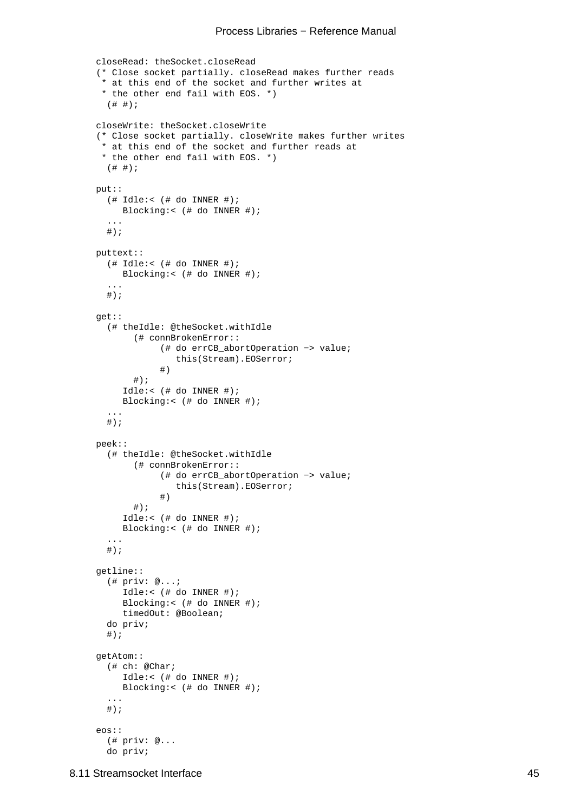#### Process Libraries − Reference Manual

```
closeRead: theSocket.closeRead
 (* Close socket partially. closeRead makes further reads
  * at this end of the socket and further writes at
  * the other end fail with EOS. *)
  ( # #);closeWrite: theSocket.closeWrite
 (* Close socket partially. closeWrite makes further writes
  * at this end of the socket and further reads at
  * the other end fail with EOS. *)
  ( # #);put::
  (\# Idle:< (\# do INNER \#);
      Blocking:< (# do INNER #);
   ...
  #);
puttext::
  (\# Idle:< (\# do INNER \#);
      Blocking:< (# do INNER #);
   ...
  #);
get::
   (# theIdle: @theSocket.withIdle
        (# connBrokenError::
              (# do errCB_abortOperation −> value;
                 this(Stream).EOSerror;
              #)
       #);
      Idle:< (# do INNER #);
      Blocking:< (# do INNER #);
   ...
  #);
peek::
   (# theIdle: @theSocket.withIdle
        (# connBrokenError::
              (# do errCB_abortOperation −> value;
                 this(Stream).EOSerror;
              #)
       #);
      Idle:< (# do INNER #);
      Blocking:< (# do INNER #);
   ...
  #);
getline::
   (# priv: @...;
      Idle:< (# do INNER #);
      Blocking:< (# do INNER #);
      timedOut: @Boolean;
   do priv;
  \#);
getAtom::
   (# ch: @Char;
      Idle:< (# do INNER #);
      Blocking:< (# do INNER #);
   ...
  \#);
eos::
   (# priv: @...
   do priv;
```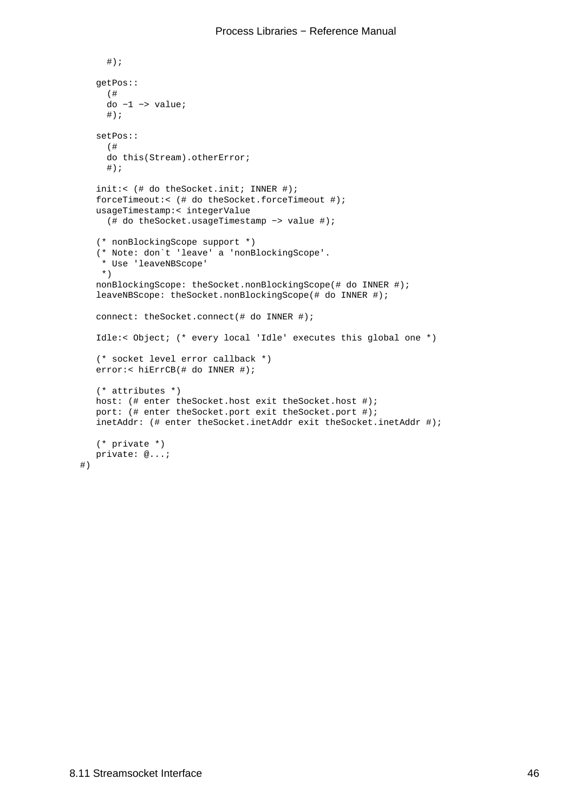```
#);
   getPos::
      (# 
     \frac{1}{d} -1 -> value;
     \#);
   setPos::
      (# 
      do this(Stream).otherError;
     #);
   init:< (# do theSocket.init; INNER #);
   forceTimeout:< (# do theSocket.forceTimeout #);
   usageTimestamp:< integerValue
      (# do theSocket.usageTimestamp −> value #);
    (* nonBlockingScope support *)
    (* Note: don`t 'leave' a 'nonBlockingScope'. 
     * Use 'leaveNBScope' 
     *)
   nonBlockingScope: theSocket.nonBlockingScope(# do INNER #);
   leaveNBScope: theSocket.nonBlockingScope(# do INNER #);
   connect: theSocket.connect(# do INNER #);
   Idle:< Object; (* every local 'Idle' executes this global one *)
    (* socket level error callback *)
   error:< hiErrCB(# do INNER #);
    (* attributes *)
  host: (# enter theSocket.host exit theSocket.host #);
   port: (# enter theSocket.port exit theSocket.port #);
   inetAddr: (# enter theSocket.inetAddr exit theSocket.inetAddr #); 
    (* private *)
  private: @...;
 #)
```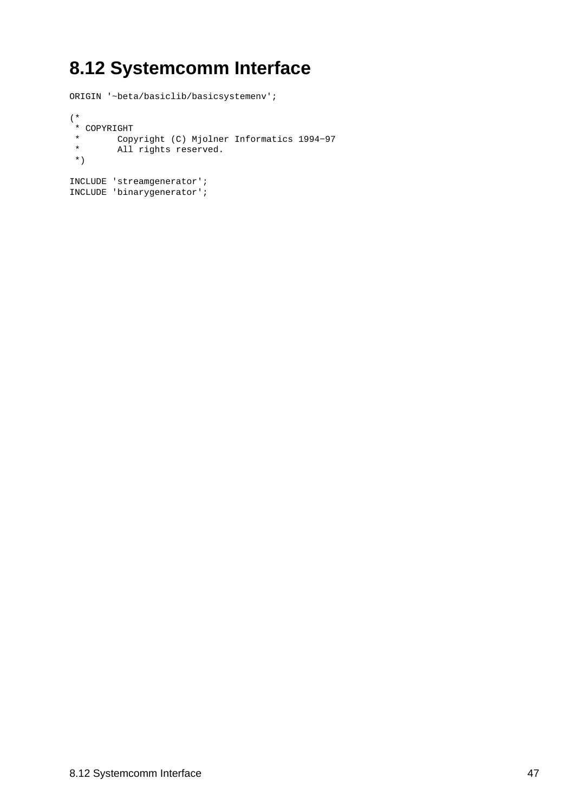# <span id="page-49-0"></span>**8.12 Systemcomm Interface**

ORIGIN '~beta/basiclib/basicsystemenv'; (\* \* COPYRIGHT \* Copyright (C) Mjolner Informatics 1994−97 \* All rights reserved. \*) INCLUDE 'streamgenerator'; INCLUDE 'binarygenerator';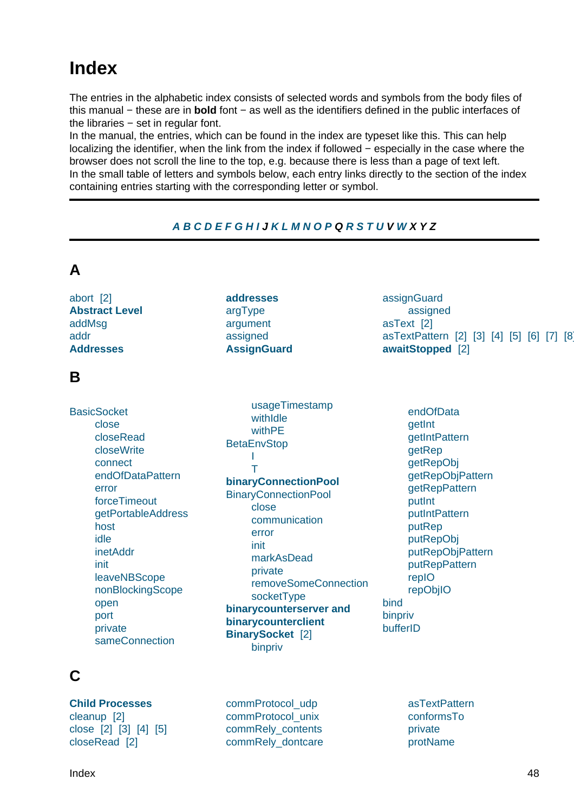## <span id="page-50-0"></span>**Index**

The entries in the alphabetic index consists of selected words and symbols from the body files of this manual − these are in **bold** font − as well as the identifiers defined in the public interfaces of the libraries − set in regular font.

In the manual, the entries, which can be found in the index are typeset like this. This can help localizing the identifier, when the link from the index if followed − especially in the case where the browser does not scroll the line to the top, e.g. because there is less than a page of text left. In the small table of letters and symbols below, each entry links directly to the section of the index containing entries starting with the corresponding letter or symbol.

#### **A B C D E F G H I J K L M N O P Q R S T U V W X Y Z**

| A                                                                                                                                                                                                                                                         |                                                                                                                                                                                                                                                                                                                          |                                                                                                                                                                                                                                             |
|-----------------------------------------------------------------------------------------------------------------------------------------------------------------------------------------------------------------------------------------------------------|--------------------------------------------------------------------------------------------------------------------------------------------------------------------------------------------------------------------------------------------------------------------------------------------------------------------------|---------------------------------------------------------------------------------------------------------------------------------------------------------------------------------------------------------------------------------------------|
| abort [2]<br><b>Abstract Level</b><br>addMsg<br>addr<br><b>Addresses</b>                                                                                                                                                                                  | <b>addresses</b><br>argType<br>argument<br>assigned<br><b>AssignGuard</b>                                                                                                                                                                                                                                                | assignGuard<br>assigned<br>asText [2]<br>asTextPattern [2] [3] [4] [5] [6] [7] [8]<br>awaitStopped [2]                                                                                                                                      |
| B                                                                                                                                                                                                                                                         |                                                                                                                                                                                                                                                                                                                          |                                                                                                                                                                                                                                             |
| <b>BasicSocket</b><br>close<br>closeRead<br>closeWrite<br>connect<br>endOfDataPattern<br>error<br>forceTimeout<br>getPortableAddress<br>host<br>idle<br>inetAddr<br>init<br>leaveNBScope<br>nonBlockingScope<br>open<br>port<br>private<br>sameConnection | usageTimestamp<br>withIdle<br>withPE<br><b>BetaEnvStop</b><br>т<br>binaryConnectionPool<br><b>BinaryConnectionPool</b><br>close<br>communication<br>error<br>init<br>markAsDead<br>private<br>removeSomeConnection<br>socketType<br>binarycounterserver and<br>binarycounterclient<br><b>BinarySocket</b> [2]<br>binpriv | endOfData<br>getInt<br>getIntPattern<br>getRep<br>getRepObj<br>getRepObjPattern<br>getRepPattern<br>putlnt<br>putIntPattern<br>putRep<br>putRepObj<br>putRepObjPattern<br>putRepPattern<br>repIO<br>repObjIO<br>bind<br>binpriv<br>bufferID |

### **C**

**Child Processes** cleanup [2] close [2] [3] [4] [5] [closeRead](#page-4-0) [2]

com[mProtoc](#page-27-0)ol\_udp commProtocol\_unix commRely\_contents [commRely\\_dontcare](#page-29-0) asTextPattern conformsTo private [protName](#page-32-0)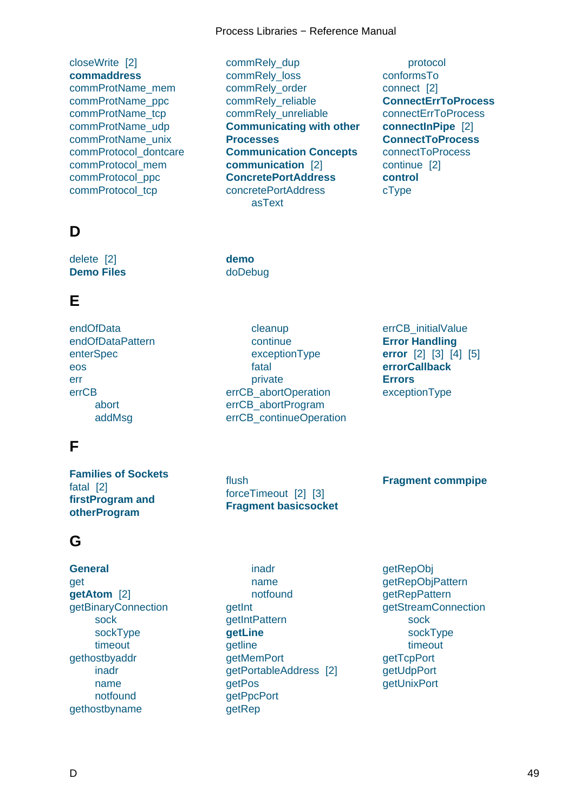<span id="page-51-0"></span>closeWrite [2] **commaddress** commProtName\_mem commProtName\_ppc [commProtN](#page-23-0)[am](#page-47-0)e\_tcp [commProtName](#page-14-0)\_udp [commProtName\\_unix](#page-29-0) [commProtocol\\_dontca](#page-29-0)re [commProtocol\\_mem](#page-29-0) [commProtocol\\_ppc](#page-29-0) [commProtocol\\_tcp](#page-29-0)

### **[D](#page-29-0)**

delete [2] **Demo Files**

#### **[E](#page-30-0)**

[endOfData](#page-19-0) endOfDataPattern enterSpec eos [err](#page-27-0) [errCB](#page-23-0) [abort](#page-30-0) addMsg

#### **[F](#page-38-0)**

**Fami[lies of S](#page-38-0)ockets** fatal [2] **firstProgram and [otherProgram](#page-7-0)**

#### **[G](#page-19-0)**

**[General](#page-19-0)** get **getAtom** [2] getBinaryConnection [sock](#page-21-0) sockType [time](#page-10-0)[out](#page-47-0) [gethostbyaddr](#page-25-0) [inadr](#page-25-0) [name](#page-25-0) [notfoun](#page-25-0)d [gethostbyname](#page-33-0)

commRely\_dup commRely\_loss commRely\_order commRely\_reliable [commRely\\_unre](#page-28-0)liable **[Communicating](#page-28-0) with other [Processes](#page-28-0) [Communication Co](#page-28-0)ncepts [communication](#page-28-0)** [2] **[ConcretePortAddress](#page-6-0)** [concretePortAddress](#page-6-0) [asText](#page-6-0)

protocol conformsTo connect [2] **ConnectErrToProcess** conn[ectErrTo](#page-32-0)Process **[connectInPi](#page-32-0)pe** [2] **[Connect](#page-22-0)[To](#page-48-0)Process** [connectToProcess](#page-4-0) [continue](#page-40-0) [2] **[control](#page-4-0)** [cType](#page-4-0)

**dem[o](#page-32-0)** doDebug

[clean](#page-41-0)up continue exceptionType fatal [private](#page-38-0) errC[B\\_abortO](#page-38-0)peration errC[B\\_abortProgram](#page-38-0) errC[B\\_contin](#page-38-0)ueOperation

flush forceTimeout [2] [3] **Fragment basicsocket** errCB\_initialValue **Error Handling error** [2] [3] [4] [5] **errorCallback [Errors](#page-38-0)** [exceptionType](#page-11-0)

#### **Fragment commpipe**

inadr name notfound **getInt getIn[tPatte](#page-33-0)rn getLi[ne](#page-33-0)** getlin[e](#page-33-0) [getMem](#page-27-0)Port [getPortableAd](#page-26-0)dress [2] [getPos](#page-10-0) [getPpcP](#page-47-0)ort [getRep](#page-31-0)

getRepObj getRepObjPattern getRepPattern getStreamConnection [sock](#page-27-0) [sockType](#page-26-0) [timeout](#page-26-0) [getTcpPort](#page-45-0) getU[dpPor](#page-45-0)t **getU[nixPort](#page-45-0)**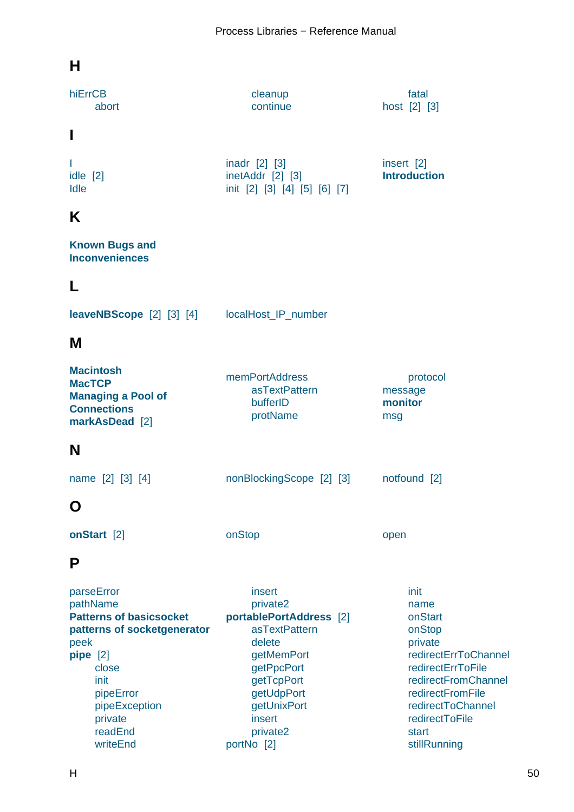### <span id="page-52-0"></span>**H**

| hiErrCB<br>abort                                                                                                                                                                             | cleanup<br>continue                                                                                                                                                                 | fatal<br>host [2] [3]                                                                                                                                                                                |
|----------------------------------------------------------------------------------------------------------------------------------------------------------------------------------------------|-------------------------------------------------------------------------------------------------------------------------------------------------------------------------------------|------------------------------------------------------------------------------------------------------------------------------------------------------------------------------------------------------|
| I                                                                                                                                                                                            |                                                                                                                                                                                     |                                                                                                                                                                                                      |
| I<br>idle [2]<br>Idle                                                                                                                                                                        | inadr [2] [3]<br>inetAddr [2] [3]<br>init [2] [3] [4] [5] [6] [7]                                                                                                                   | insert [2]<br><b>Introduction</b>                                                                                                                                                                    |
| Κ                                                                                                                                                                                            |                                                                                                                                                                                     |                                                                                                                                                                                                      |
| <b>Known Bugs and</b><br><b>Inconveniences</b>                                                                                                                                               |                                                                                                                                                                                     |                                                                                                                                                                                                      |
| L                                                                                                                                                                                            |                                                                                                                                                                                     |                                                                                                                                                                                                      |
| <b>leaveNBScope</b> [2] [3] [4]                                                                                                                                                              | localHost_IP_number                                                                                                                                                                 |                                                                                                                                                                                                      |
| M                                                                                                                                                                                            |                                                                                                                                                                                     |                                                                                                                                                                                                      |
| <b>Macintosh</b><br><b>MacTCP</b><br><b>Managing a Pool of</b><br><b>Connections</b><br>markAsDead [2]                                                                                       | memPortAddress<br>asTextPattern<br>bufferID<br>protName                                                                                                                             | protocol<br>message<br>monitor<br>msg                                                                                                                                                                |
| N                                                                                                                                                                                            |                                                                                                                                                                                     |                                                                                                                                                                                                      |
| name [2] [3] [4]                                                                                                                                                                             | nonBlockingScope [2] [3]                                                                                                                                                            | notfound [2]                                                                                                                                                                                         |
| O                                                                                                                                                                                            |                                                                                                                                                                                     |                                                                                                                                                                                                      |
| onStart [2]                                                                                                                                                                                  | onStop                                                                                                                                                                              | open                                                                                                                                                                                                 |
| Ρ                                                                                                                                                                                            |                                                                                                                                                                                     |                                                                                                                                                                                                      |
| parseError<br>pathName<br><b>Patterns of basicsocket</b><br>patterns of socketgenerator<br>peek<br>pipe [2]<br>close<br>init<br>pipeError<br>pipeException<br>private<br>readEnd<br>writeEnd | insert<br>private2<br>portablePortAddress [2]<br>asTextPattern<br>delete<br>getMemPort<br>getPpcPort<br>getTcpPort<br>getUdpPort<br>getUnixPort<br>insert<br>private2<br>portNo [2] | init<br>name<br>onStart<br>onStop<br>private<br>redirectErrToChannel<br>redirectErrToFile<br>redirectFromChannel<br>redirectFromFile<br>redirectToChannel<br>redirectToFile<br>start<br>stillRunning |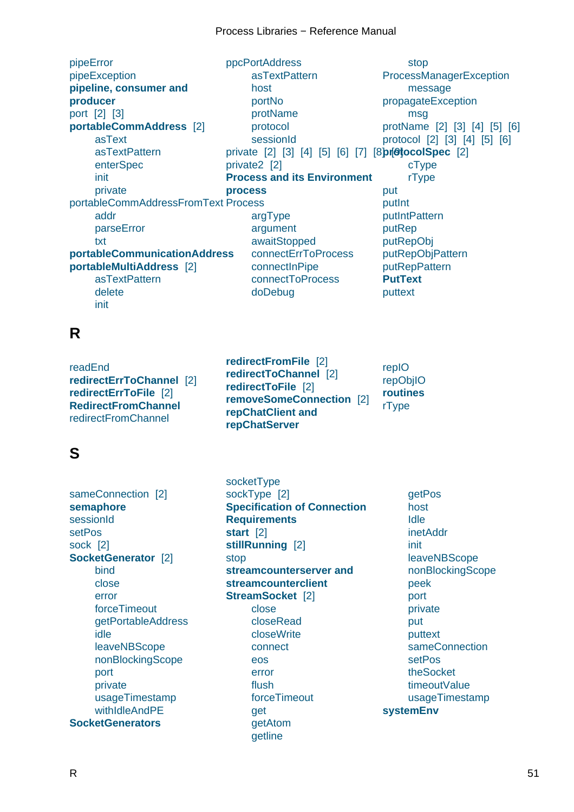<span id="page-53-0"></span>pipeError pipeException **pipeline, consumer and producer** [port](#page-34-0) [2] [3] **[portableComm](#page-34-0)[Address](#page-19-0)** [2] [asTex](#page-19-0)t [asTe](#page-19-0)xtPattern [en](#page-43-0)[t](#page-15-0)[erS](#page-48-0)[pec](#page-15-0) init [private](#page-29-0) porta[bleCommAddr](#page-30-0)essFromText [Process](#page-24-0) [addr](#page-30-0) [par](#page-29-0)seError [txt](#page-30-0) **[portableCommunicationAddres](#page-30-0)s port[ableM](#page-30-0)ultiAddress** [2] [asTextPatt](#page-30-0)ern [de](#page-30-0)lete [init](#page-10-0) ppcPortAddress asTextPattern host portNo [protName](#page-33-0) [protocol](#page-33-0) [sess](#page-33-0)ionId private [\[2\]](#page-33-0) [3] [4] [5] [6] [7] [8**pr@tocolSpec** [2] priva[te2](#page-33-0) [2] **Proc[ess and it](#page-33-0)s Environment proces[s](#page-30-0)** [arg](#page-30-0)[Typ](#page-31-0)e [argument](#page-5-0) [awa](#page-4-0)itStopped [con](#page-39-0)nectErrToProcess [connectI](#page-39-0)nPipe [connectTo](#page-39-0)Process [doDebug](#page-39-0) stop ProcessManagerException message propagateException [msg](#page-39-0) [protName](#page-41-0) [2] [3] [4] [5] [6] proto[col](#page-41-0) [2] [3] [4] [5] [6] [cTyp](#page-34-0)[e](#page-32-0) [rType](#page-32-0) [put](#page-32-0) [pu](#page-14-0)[tI](#page-48-0)[nt](#page-14-0) putIn[tPatter](#page-29-0)n putR[ep](#page-29-0) [putR](#page-47-0)epObj [putRep](#page-27-0)ObjPattern [putRepPattern](#page-26-0) **[PutText](#page-27-0)** [puttext](#page-27-0) **R** readEnd **redirectErrToChannel** [2] **redirectErrToFile** [2] **RedirectFromChannel** [redirectFr](#page-34-0)[omChannel](#page-4-0) **redirectFromFile** [2] **redirectToChannel** [2] **redirectToFile** [2] **removeSomeCon[nec](#page-40-0)tion** [2] **[repChatClient and](#page-4-0) [repChatServer](#page-4-0)** repIO repObjIO **routines** [rType](#page-27-0) **[S](#page-4-0)** sameConnection [2] **semaphore** sessionId setPos [socketType](#page-19-0) sockType [2] **Specification of Connection Requirements [start](#page-35-0)** [2] getPos host Idle inetAddr

[sock](#page-22-0) [2] **[SocketGene](#page-7-0)rator** [2] [bind](#page-33-0) [clo](#page-48-0)se [erro](#page-45-0)r [forceTimeout](#page-6-0) [getP](#page-42-0)ortableAddress [idle](#page-42-0) [leave](#page-43-0)NBScope [nonBlockingScope](#page-42-0) port [priv](#page-43-0)ate [usageTimestam](#page-43-0)p [withIdleAndPE](#page-43-0) **Soc[ketG](#page-43-0)[ene](#page-44-0)rators**

**[stillRunni](#page-25-0)[ng](#page-45-0)** [\[2\]](#page-14-0) stop **[streamcounter](#page-14-0)server and [strea](#page-4-0)[mco](#page-39-0)unt[ercl](#page-40-0)ient [StreamSocke](#page-4-0)t** [2] close [closeRead](#page-19-0) [closeWrite](#page-19-0) [connect](#page-6-0) [eos](#page-46-0) [error](#page-47-0) [flush](#page-47-0) [forceTim](#page-48-0)eout [get](#page-47-0) [getAt](#page-48-0)om [getlin](#page-46-0)[e](#page-48-0)

[init](#page-48-0) [leave](#page-48-0)NBScope [non](#page-48-0)BlockingScope [peek](#page-48-0) [por](#page-48-0)t [private](#page-48-0) [put](#page-48-0) [putte](#page-47-0)xt [sam](#page-48-0)eConnection [setPos](#page-48-0) [the](#page-47-0)Socket [timeou](#page-47-0)tValue [usageTimestamp](#page-46-0) **syst[emEnv](#page-48-0)**